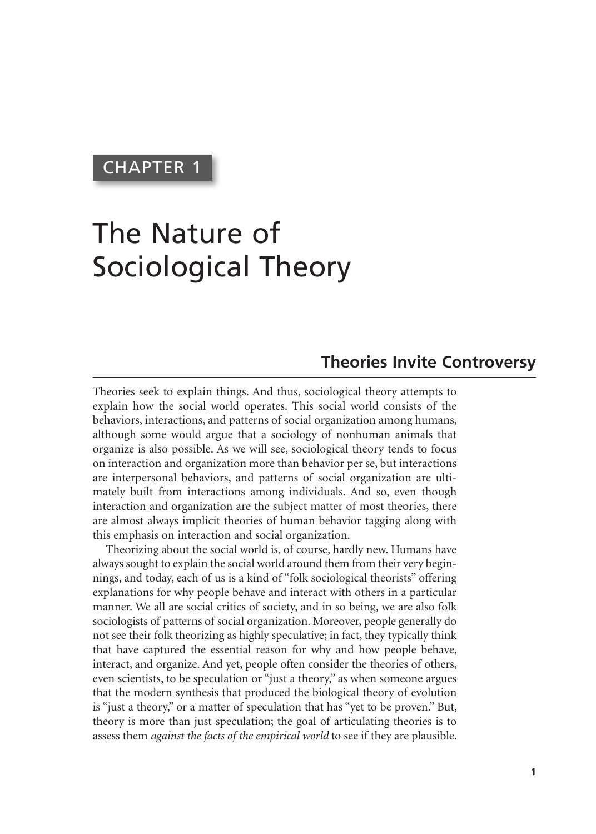# CHAPTER 1

# The Nature of Sociological Theory

# **Theories Invite Controversy**

Theories seek to explain things. And thus, sociological theory attempts to explain how the social world operates. This social world consists of the behaviors, interactions, and patterns of social organization among humans, although some would argue that a sociology of nonhuman animals that organize is also possible. As we will see, sociological theory tends to focus on interaction and organization more than behavior per se, but interactions are interpersonal behaviors, and patterns of social organization are ultimately built from interactions among individuals. And so, even though interaction and organization are the subject matter of most theories, there are almost always implicit theories of human behavior tagging along with this emphasis on interaction and social organization.

Theorizing about the social world is, of course, hardly new. Humans have always sought to explain the social world around them from their very beginnings, and today, each of us is a kind of "folk sociological theorists" offering explanations for why people behave and interact with others in a particular manner. We all are social critics of society, and in so being, we are also folk sociologists of patterns of social organization. Moreover, people generally do not see their folk theorizing as highly speculative; in fact, they typically think that have captured the essential reason for why and how people behave, interact, and organize. And yet, people often consider the theories of others, even scientists, to be speculation or "just a theory," as when someone argues that the modern synthesis that produced the biological theory of evolution is "just a theory," or a matter of speculation that has "yet to be proven." But, theory is more than just speculation; the goal of articulating theories is to assess them *against the facts of the empirical world* to see if they are plausible.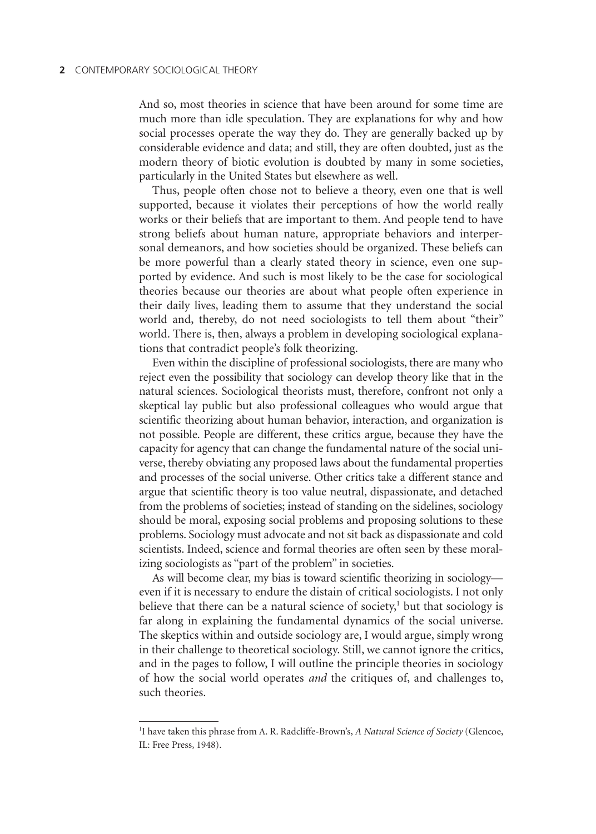And so, most theories in science that have been around for some time are much more than idle speculation. They are explanations for why and how social processes operate the way they do. They are generally backed up by considerable evidence and data; and still, they are often doubted, just as the modern theory of biotic evolution is doubted by many in some societies, particularly in the United States but elsewhere as well.

Thus, people often chose not to believe a theory, even one that is well supported, because it violates their perceptions of how the world really works or their beliefs that are important to them. And people tend to have strong beliefs about human nature, appropriate behaviors and interpersonal demeanors, and how societies should be organized. These beliefs can be more powerful than a clearly stated theory in science, even one supported by evidence. And such is most likely to be the case for sociological theories because our theories are about what people often experience in their daily lives, leading them to assume that they understand the social world and, thereby, do not need sociologists to tell them about "their" world. There is, then, always a problem in developing sociological explanations that contradict people's folk theorizing.

Even within the discipline of professional sociologists, there are many who reject even the possibility that sociology can develop theory like that in the natural sciences. Sociological theorists must, therefore, confront not only a skeptical lay public but also professional colleagues who would argue that scientific theorizing about human behavior, interaction, and organization is not possible. People are different, these critics argue, because they have the capacity for agency that can change the fundamental nature of the social universe, thereby obviating any proposed laws about the fundamental properties and processes of the social universe. Other critics take a different stance and argue that scientific theory is too value neutral, dispassionate, and detached from the problems of societies; instead of standing on the sidelines, sociology should be moral, exposing social problems and proposing solutions to these problems. Sociology must advocate and not sit back as dispassionate and cold scientists. Indeed, science and formal theories are often seen by these moralizing sociologists as "part of the problem" in societies.

As will become clear, my bias is toward scientific theorizing in sociology even if it is necessary to endure the distain of critical sociologists. I not only believe that there can be a natural science of society,<sup>1</sup> but that sociology is far along in explaining the fundamental dynamics of the social universe. The skeptics within and outside sociology are, I would argue, simply wrong in their challenge to theoretical sociology. Still, we cannot ignore the critics, and in the pages to follow, I will outline the principle theories in sociology of how the social world operates *and* the critiques of, and challenges to, such theories.

<sup>&</sup>lt;sup>1</sup>I have taken this phrase from A. R. Radcliffe-Brown's, *A Natural Science of Society* (Glencoe, IL: Free Press, 1948).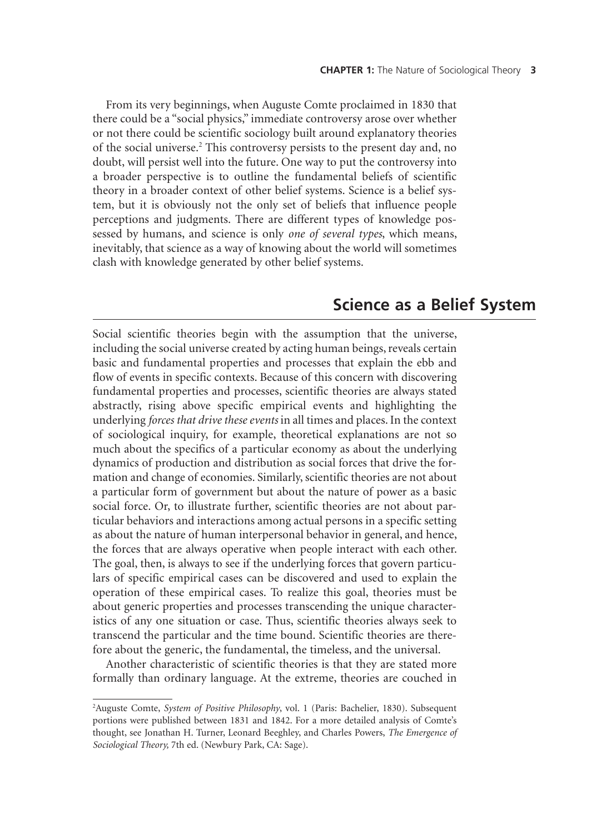From its very beginnings, when Auguste Comte proclaimed in 1830 that there could be a "social physics," immediate controversy arose over whether or not there could be scientific sociology built around explanatory theories of the social universe.<sup>2</sup> This controversy persists to the present day and, no doubt, will persist well into the future. One way to put the controversy into a broader perspective is to outline the fundamental beliefs of scientific theory in a broader context of other belief systems. Science is a belief system, but it is obviously not the only set of beliefs that influence people perceptions and judgments. There are different types of knowledge possessed by humans, and science is only *one of several types*, which means, inevitably, that science as a way of knowing about the world will sometimes clash with knowledge generated by other belief systems.

# **Science as a Belief System**

Social scientific theories begin with the assumption that the universe, including the social universe created by acting human beings, reveals certain basic and fundamental properties and processes that explain the ebb and flow of events in specific contexts. Because of this concern with discovering fundamental properties and processes, scientific theories are always stated abstractly, rising above specific empirical events and highlighting the underlying *forces that drive these events* in all times and places. In the context of sociological inquiry, for example, theoretical explanations are not so much about the specifics of a particular economy as about the underlying dynamics of production and distribution as social forces that drive the formation and change of economies. Similarly, scientific theories are not about a particular form of government but about the nature of power as a basic social force. Or, to illustrate further, scientific theories are not about particular behaviors and interactions among actual persons in a specific setting as about the nature of human interpersonal behavior in general, and hence, the forces that are always operative when people interact with each other. The goal, then, is always to see if the underlying forces that govern particulars of specific empirical cases can be discovered and used to explain the operation of these empirical cases. To realize this goal, theories must be about generic properties and processes transcending the unique characteristics of any one situation or case. Thus, scientific theories always seek to transcend the particular and the time bound. Scientific theories are therefore about the generic, the fundamental, the timeless, and the universal.

Another characteristic of scientific theories is that they are stated more formally than ordinary language. At the extreme, theories are couched in

<sup>2</sup> Auguste Comte, *System of Positive Philosophy*, vol. 1 (Paris: Bachelier, 1830). Subsequent portions were published between 1831 and 1842. For a more detailed analysis of Comte's thought, see Jonathan H. Turner, Leonard Beeghley, and Charles Powers, *The Emergence of Sociological Theory,* 7th ed. (Newbury Park, CA: Sage).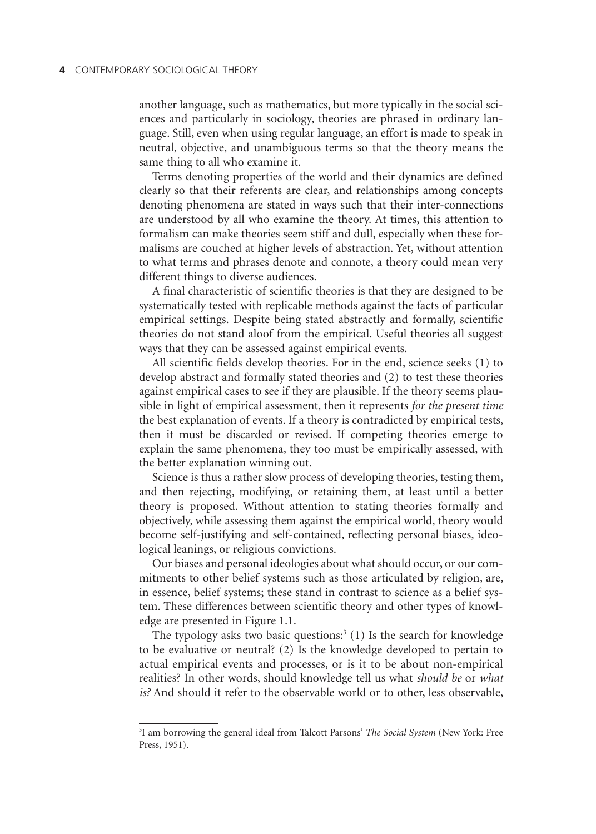#### **4** CONTEMPORARY SOCIOLOGICAL THEORY

another language, such as mathematics, but more typically in the social sciences and particularly in sociology, theories are phrased in ordinary language. Still, even when using regular language, an effort is made to speak in neutral, objective, and unambiguous terms so that the theory means the same thing to all who examine it.

Terms denoting properties of the world and their dynamics are defined clearly so that their referents are clear, and relationships among concepts denoting phenomena are stated in ways such that their inter-connections are understood by all who examine the theory. At times, this attention to formalism can make theories seem stiff and dull, especially when these formalisms are couched at higher levels of abstraction. Yet, without attention to what terms and phrases denote and connote, a theory could mean very different things to diverse audiences.

A final characteristic of scientific theories is that they are designed to be systematically tested with replicable methods against the facts of particular empirical settings. Despite being stated abstractly and formally, scientific theories do not stand aloof from the empirical. Useful theories all suggest ways that they can be assessed against empirical events.

All scientific fields develop theories. For in the end, science seeks (1) to develop abstract and formally stated theories and (2) to test these theories against empirical cases to see if they are plausible. If the theory seems plausible in light of empirical assessment, then it represents *for the present time* the best explanation of events. If a theory is contradicted by empirical tests, then it must be discarded or revised. If competing theories emerge to explain the same phenomena, they too must be empirically assessed, with the better explanation winning out.

Science is thus a rather slow process of developing theories, testing them, and then rejecting, modifying, or retaining them, at least until a better theory is proposed. Without attention to stating theories formally and objectively, while assessing them against the empirical world, theory would become self-justifying and self-contained, reflecting personal biases, ideological leanings, or religious convictions.

Our biases and personal ideologies about what should occur, or our commitments to other belief systems such as those articulated by religion, are, in essence, belief systems; these stand in contrast to science as a belief system. These differences between scientific theory and other types of knowledge are presented in Figure 1.1.

The typology asks two basic questions:<sup>3</sup> (1) Is the search for knowledge to be evaluative or neutral? (2) Is the knowledge developed to pertain to actual empirical events and processes, or is it to be about non-empirical realities? In other words, should knowledge tell us what *should be* or *what is?* And should it refer to the observable world or to other, less observable,

<sup>3</sup> I am borrowing the general ideal from Talcott Parsons' *The Social System* (New York: Free Press, 1951).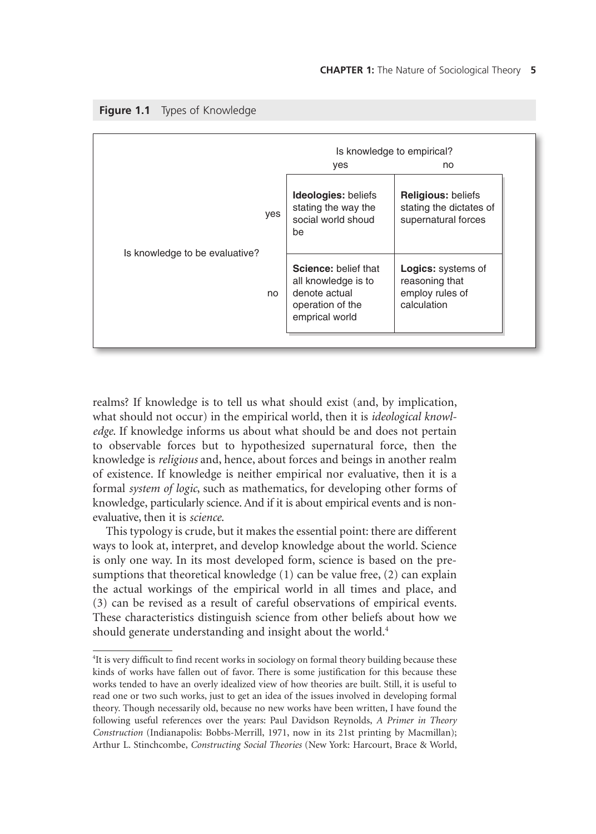|                                |     | Is knowledge to empirical?                                                                                |                                                                               |
|--------------------------------|-----|-----------------------------------------------------------------------------------------------------------|-------------------------------------------------------------------------------|
|                                |     | yes                                                                                                       | no                                                                            |
| Is knowledge to be evaluative? | yes | <b>Ideologies:</b> beliefs<br>stating the way the<br>social world shoud<br>be                             | <b>Religious: beliefs</b><br>stating the dictates of<br>supernatural forces   |
|                                | no  | <b>Science: belief that</b><br>all knowledge is to<br>denote actual<br>operation of the<br>emprical world | <b>Logics:</b> systems of<br>reasoning that<br>employ rules of<br>calculation |

**Figure 1.1** Types of Knowledge

realms? If knowledge is to tell us what should exist (and, by implication, what should not occur) in the empirical world, then it is *ideological knowledge*. If knowledge informs us about what should be and does not pertain to observable forces but to hypothesized supernatural force, then the knowledge is *religious* and, hence, about forces and beings in another realm of existence. If knowledge is neither empirical nor evaluative, then it is a formal *system of logic*, such as mathematics, for developing other forms of knowledge, particularly science. And if it is about empirical events and is nonevaluative, then it is *science*.

This typology is crude, but it makes the essential point: there are different ways to look at, interpret, and develop knowledge about the world. Science is only one way. In its most developed form, science is based on the presumptions that theoretical knowledge  $(1)$  can be value free,  $(2)$  can explain the actual workings of the empirical world in all times and place, and (3) can be revised as a result of careful observations of empirical events. These characteristics distinguish science from other beliefs about how we should generate understanding and insight about the world.<sup>4</sup>

<sup>4</sup> It is very difficult to find recent works in sociology on formal theory building because these kinds of works have fallen out of favor. There is some justification for this because these works tended to have an overly idealized view of how theories are built. Still, it is useful to read one or two such works, just to get an idea of the issues involved in developing formal theory. Though necessarily old, because no new works have been written, I have found the following useful references over the years: Paul Davidson Reynolds, *A Primer in Theory Construction* (Indianapolis: Bobbs-Merrill, 1971, now in its 21st printing by Macmillan); Arthur L. Stinchcombe, *Constructing Social Theories* (New York: Harcourt, Brace & World,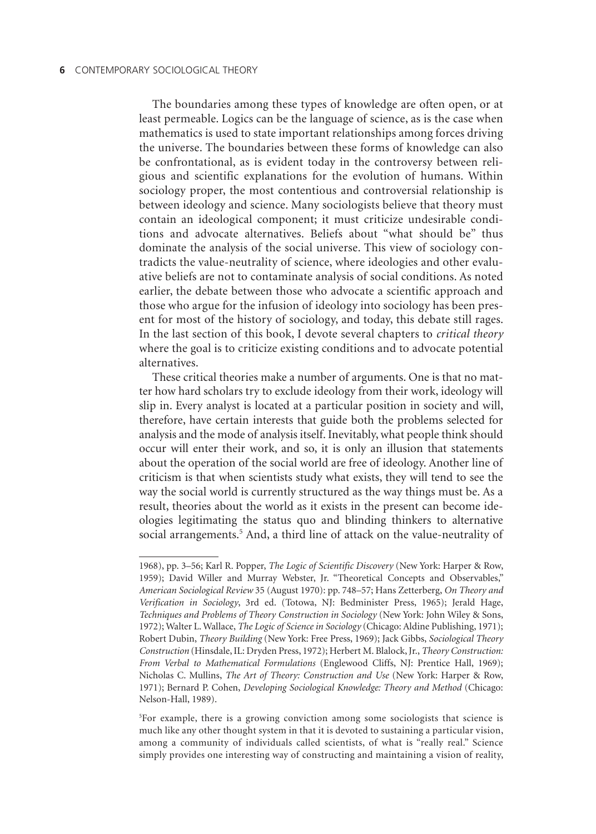#### **6** CONTEMPORARY SOCIOLOGICAL THEORY

The boundaries among these types of knowledge are often open, or at least permeable. Logics can be the language of science, as is the case when mathematics is used to state important relationships among forces driving the universe. The boundaries between these forms of knowledge can also be confrontational, as is evident today in the controversy between religious and scientific explanations for the evolution of humans. Within sociology proper, the most contentious and controversial relationship is between ideology and science. Many sociologists believe that theory must contain an ideological component; it must criticize undesirable conditions and advocate alternatives. Beliefs about "what should be" thus dominate the analysis of the social universe. This view of sociology contradicts the value-neutrality of science, where ideologies and other evaluative beliefs are not to contaminate analysis of social conditions. As noted earlier, the debate between those who advocate a scientific approach and those who argue for the infusion of ideology into sociology has been present for most of the history of sociology, and today, this debate still rages. In the last section of this book, I devote several chapters to *critical theory* where the goal is to criticize existing conditions and to advocate potential alternatives.

These critical theories make a number of arguments. One is that no matter how hard scholars try to exclude ideology from their work, ideology will slip in. Every analyst is located at a particular position in society and will, therefore, have certain interests that guide both the problems selected for analysis and the mode of analysis itself. Inevitably, what people think should occur will enter their work, and so, it is only an illusion that statements about the operation of the social world are free of ideology. Another line of criticism is that when scientists study what exists, they will tend to see the way the social world is currently structured as the way things must be. As a result, theories about the world as it exists in the present can become ideologies legitimating the status quo and blinding thinkers to alternative social arrangements.<sup>5</sup> And, a third line of attack on the value-neutrality of

<sup>1968),</sup> pp. 3–56; Karl R. Popper, *The Logic of Scientific Discovery* (New York: Harper & Row, 1959); David Willer and Murray Webster, Jr. "Theoretical Concepts and Observables," *American Sociological Review* 35 (August 1970): pp. 748–57; Hans Zetterberg, *On Theory and Verification in Sociology*, 3rd ed. (Totowa, NJ: Bedminister Press, 1965); Jerald Hage, *Techniques and Problems of Theory Construction in Sociology* (New York: John Wiley & Sons, 1972); Walter L. Wallace, *The Logic of Science in Sociology* (Chicago: Aldine Publishing, 1971); Robert Dubin, *Theory Building* (New York: Free Press, 1969); Jack Gibbs, *Sociological Theory Construction* (Hinsdale, IL: Dryden Press, 1972); Herbert M. Blalock, Jr., *Theory Construction: From Verbal to Mathematical Formulations* (Englewood Cliffs, NJ: Prentice Hall, 1969); Nicholas C. Mullins, *The Art of Theory: Construction and Use* (New York: Harper & Row, 1971); Bernard P. Cohen, *Developing Sociological Knowledge: Theory and Method* (Chicago: Nelson-Hall, 1989).

<sup>5</sup> For example, there is a growing conviction among some sociologists that science is much like any other thought system in that it is devoted to sustaining a particular vision, among a community of individuals called scientists, of what is "really real." Science simply provides one interesting way of constructing and maintaining a vision of reality,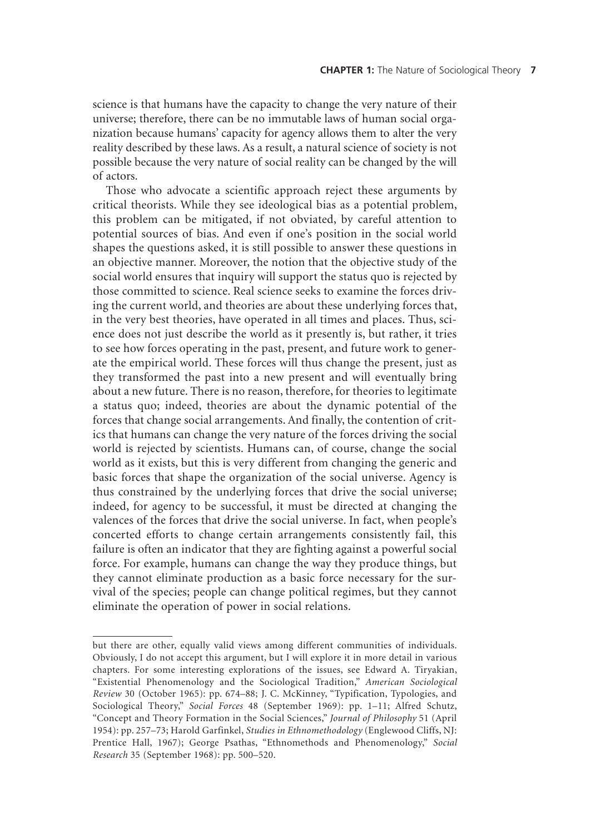## **CHAPTER 1:** The Nature of Sociological Theory **7**

science is that humans have the capacity to change the very nature of their universe; therefore, there can be no immutable laws of human social organization because humans' capacity for agency allows them to alter the very reality described by these laws. As a result, a natural science of society is not possible because the very nature of social reality can be changed by the will of actors.

Those who advocate a scientific approach reject these arguments by critical theorists. While they see ideological bias as a potential problem, this problem can be mitigated, if not obviated, by careful attention to potential sources of bias. And even if one's position in the social world shapes the questions asked, it is still possible to answer these questions in an objective manner. Moreover, the notion that the objective study of the social world ensures that inquiry will support the status quo is rejected by those committed to science. Real science seeks to examine the forces driving the current world, and theories are about these underlying forces that, in the very best theories, have operated in all times and places. Thus, science does not just describe the world as it presently is, but rather, it tries to see how forces operating in the past, present, and future work to generate the empirical world. These forces will thus change the present, just as they transformed the past into a new present and will eventually bring about a new future. There is no reason, therefore, for theories to legitimate a status quo; indeed, theories are about the dynamic potential of the forces that change social arrangements. And finally, the contention of critics that humans can change the very nature of the forces driving the social world is rejected by scientists. Humans can, of course, change the social world as it exists, but this is very different from changing the generic and basic forces that shape the organization of the social universe. Agency is thus constrained by the underlying forces that drive the social universe; indeed, for agency to be successful, it must be directed at changing the valences of the forces that drive the social universe. In fact, when people's concerted efforts to change certain arrangements consistently fail, this failure is often an indicator that they are fighting against a powerful social force. For example, humans can change the way they produce things, but they cannot eliminate production as a basic force necessary for the survival of the species; people can change political regimes, but they cannot eliminate the operation of power in social relations.

but there are other, equally valid views among different communities of individuals. Obviously, I do not accept this argument, but I will explore it in more detail in various chapters. For some interesting explorations of the issues, see Edward A. Tiryakian, "Existential Phenomenology and the Sociological Tradition," *American Sociological Review* 30 (October 1965): pp. 674–88; J. C. McKinney, "Typification, Typologies, and Sociological Theory," *Social Forces* 48 (September 1969): pp. 1–11; Alfred Schutz, "Concept and Theory Formation in the Social Sciences," *Journal of Philosophy* 51 (April 1954): pp. 257–73; Harold Garfinkel, *Studies in Ethnomethodology* (Englewood Cliffs, NJ: Prentice Hall, 1967); George Psathas, "Ethnomethods and Phenomenology," *Social Research* 35 (September 1968): pp. 500–520.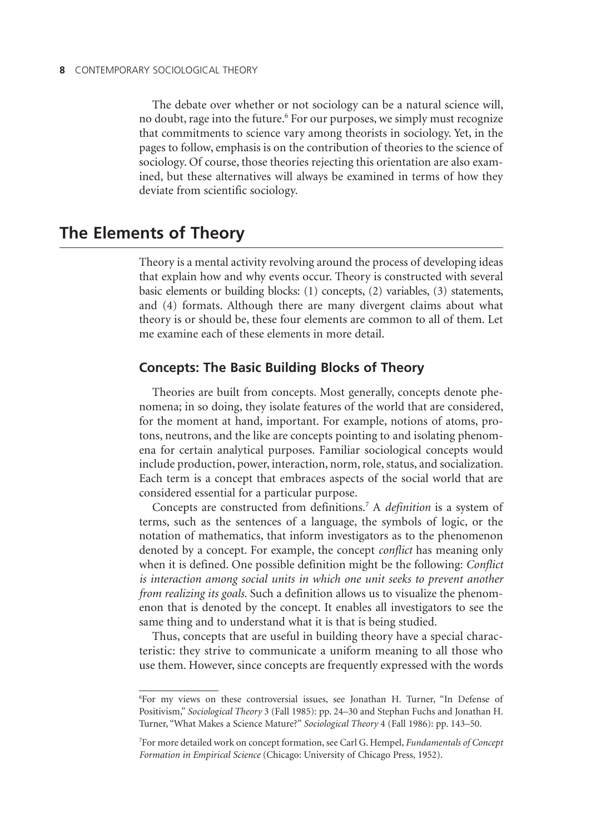The debate over whether or not sociology can be a natural science will, no doubt, rage into the future.<sup>6</sup> For our purposes, we simply must recognize that commitments to science vary among theorists in sociology. Yet, in the pages to follow, emphasis is on the contribution of theories to the science of sociology. Of course, those theories rejecting this orientation are also examined, but these alternatives will always be examined in terms of how they deviate from scientific sociology.

# **The Elements of Theory**

Theory is a mental activity revolving around the process of developing ideas that explain how and why events occur. Theory is constructed with several basic elements or building blocks: (1) concepts, (2) variables, (3) statements, and (4) formats. Although there are many divergent claims about what theory is or should be, these four elements are common to all of them. Let me examine each of these elements in more detail.

## **Concepts: The Basic Building Blocks of Theory**

Theories are built from concepts. Most generally, concepts denote phenomena; in so doing, they isolate features of the world that are considered, for the moment at hand, important. For example, notions of atoms, protons, neutrons, and the like are concepts pointing to and isolating phenomena for certain analytical purposes. Familiar sociological concepts would include production, power, interaction, norm, role, status, and socialization. Each term is a concept that embraces aspects of the social world that are considered essential for a particular purpose.

Concepts are constructed from definitions.7 A *definition* is a system of terms, such as the sentences of a language, the symbols of logic, or the notation of mathematics, that inform investigators as to the phenomenon denoted by a concept. For example, the concept *conflict* has meaning only when it is defined. One possible definition might be the following: *Conflict is interaction among social units in which one unit seeks to prevent another from realizing its goals.* Such a definition allows us to visualize the phenomenon that is denoted by the concept. It enables all investigators to see the same thing and to understand what it is that is being studied.

Thus, concepts that are useful in building theory have a special characteristic: they strive to communicate a uniform meaning to all those who use them. However, since concepts are frequently expressed with the words

<sup>6</sup> For my views on these controversial issues, see Jonathan H. Turner, "In Defense of Positivism," *Sociological Theory* 3 (Fall 1985): pp. 24–30 and Stephan Fuchs and Jonathan H. Turner, "What Makes a Science Mature?" *Sociological Theory* 4 (Fall 1986): pp. 143–50.

<sup>7</sup> For more detailed work on concept formation, see Carl G. Hempel, *Fundamentals of Concept Formation in Empirical Science* (Chicago: University of Chicago Press, 1952).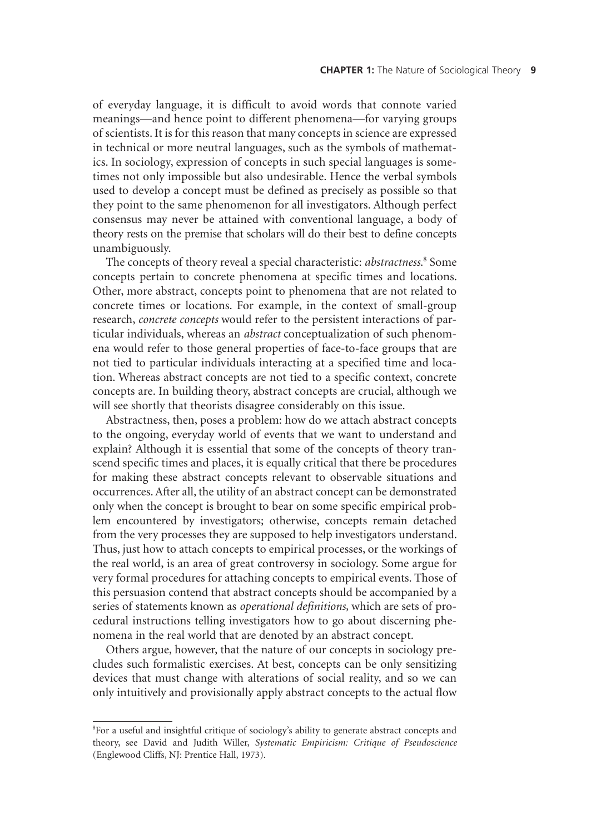## **CHAPTER 1:** The Nature of Sociological Theory **9**

of everyday language, it is difficult to avoid words that connote varied meanings—and hence point to different phenomena—for varying groups of scientists. It is for this reason that many concepts in science are expressed in technical or more neutral languages, such as the symbols of mathematics. In sociology, expression of concepts in such special languages is sometimes not only impossible but also undesirable. Hence the verbal symbols used to develop a concept must be defined as precisely as possible so that they point to the same phenomenon for all investigators. Although perfect consensus may never be attained with conventional language, a body of theory rests on the premise that scholars will do their best to define concepts unambiguously.

The concepts of theory reveal a special characteristic: *abstractness*. <sup>8</sup> Some concepts pertain to concrete phenomena at specific times and locations. Other, more abstract, concepts point to phenomena that are not related to concrete times or locations. For example, in the context of small-group research, *concrete concepts* would refer to the persistent interactions of particular individuals, whereas an *abstract* conceptualization of such phenomena would refer to those general properties of face-to-face groups that are not tied to particular individuals interacting at a specified time and location. Whereas abstract concepts are not tied to a specific context, concrete concepts are. In building theory, abstract concepts are crucial, although we will see shortly that theorists disagree considerably on this issue.

Abstractness, then, poses a problem: how do we attach abstract concepts to the ongoing, everyday world of events that we want to understand and explain? Although it is essential that some of the concepts of theory transcend specific times and places, it is equally critical that there be procedures for making these abstract concepts relevant to observable situations and occurrences. After all, the utility of an abstract concept can be demonstrated only when the concept is brought to bear on some specific empirical problem encountered by investigators; otherwise, concepts remain detached from the very processes they are supposed to help investigators understand. Thus, just how to attach concepts to empirical processes, or the workings of the real world, is an area of great controversy in sociology. Some argue for very formal procedures for attaching concepts to empirical events. Those of this persuasion contend that abstract concepts should be accompanied by a series of statements known as *operational definitions,* which are sets of procedural instructions telling investigators how to go about discerning phenomena in the real world that are denoted by an abstract concept.

Others argue, however, that the nature of our concepts in sociology precludes such formalistic exercises. At best, concepts can be only sensitizing devices that must change with alterations of social reality, and so we can only intuitively and provisionally apply abstract concepts to the actual flow

<sup>8</sup> For a useful and insightful critique of sociology's ability to generate abstract concepts and theory, see David and Judith Willer, *Systematic Empiricism: Critique of Pseudoscience*  (Englewood Cliffs, NJ: Prentice Hall, 1973).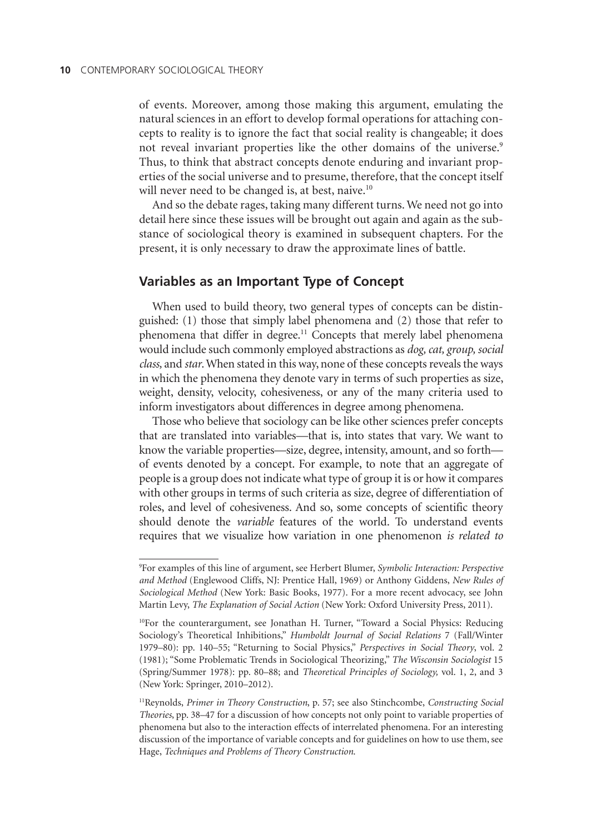of events. Moreover, among those making this argument, emulating the natural sciences in an effort to develop formal operations for attaching concepts to reality is to ignore the fact that social reality is changeable; it does not reveal invariant properties like the other domains of the universe.<sup>9</sup> Thus, to think that abstract concepts denote enduring and invariant properties of the social universe and to presume, therefore, that the concept itself will never need to be changed is, at best, naive.<sup>10</sup>

And so the debate rages, taking many different turns. We need not go into detail here since these issues will be brought out again and again as the substance of sociological theory is examined in subsequent chapters. For the present, it is only necessary to draw the approximate lines of battle.

## **Variables as an Important Type of Concept**

When used to build theory, two general types of concepts can be distinguished: (1) those that simply label phenomena and (2) those that refer to phenomena that differ in degree.<sup>11</sup> Concepts that merely label phenomena would include such commonly employed abstractions as *dog, cat, group, social class,* and *star*. When stated in this way, none of these concepts reveals the ways in which the phenomena they denote vary in terms of such properties as size, weight, density, velocity, cohesiveness, or any of the many criteria used to inform investigators about differences in degree among phenomena.

Those who believe that sociology can be like other sciences prefer concepts that are translated into variables—that is, into states that vary. We want to know the variable properties—size, degree, intensity, amount, and so forth of events denoted by a concept. For example, to note that an aggregate of people is a group does not indicate what type of group it is or how it compares with other groups in terms of such criteria as size, degree of differentiation of roles, and level of cohesiveness. And so, some concepts of scientific theory should denote the *variable* features of the world. To understand events requires that we visualize how variation in one phenomenon *is related to*

<sup>9</sup> For examples of this line of argument, see Herbert Blumer, *Symbolic Interaction: Perspective and Method* (Englewood Cliffs, NJ: Prentice Hall, 1969) or Anthony Giddens, *New Rules of Sociological Method* (New York: Basic Books, 1977). For a more recent advocacy, see John Martin Levy, *The Explanation of Social Action* (New York: Oxford University Press, 2011).

<sup>&</sup>lt;sup>10</sup>For the counterargument, see Jonathan H. Turner, "Toward a Social Physics: Reducing Sociology's Theoretical Inhibitions," *Humboldt Journal of Social Relations* 7 (Fall/Winter 1979–80): pp. 140–55; "Returning to Social Physics," *Perspectives in Social Theory*, vol. 2 (1981); "Some Problematic Trends in Sociological Theorizing," *The Wisconsin Sociologist* 15 (Spring/Summer 1978): pp. 80–88; and *Theoretical Principles of Sociology,* vol. 1, 2, and 3 (New York: Springer, 2010–2012).

<sup>11</sup>Reynolds, *Primer in Theory Construction*, p. 57; see also Stinchcombe, *Constructing Social Theories*, pp. 38–47 for a discussion of how concepts not only point to variable properties of phenomena but also to the interaction effects of interrelated phenomena. For an interesting discussion of the importance of variable concepts and for guidelines on how to use them, see Hage, *Techniques and Problems of Theory Construction*.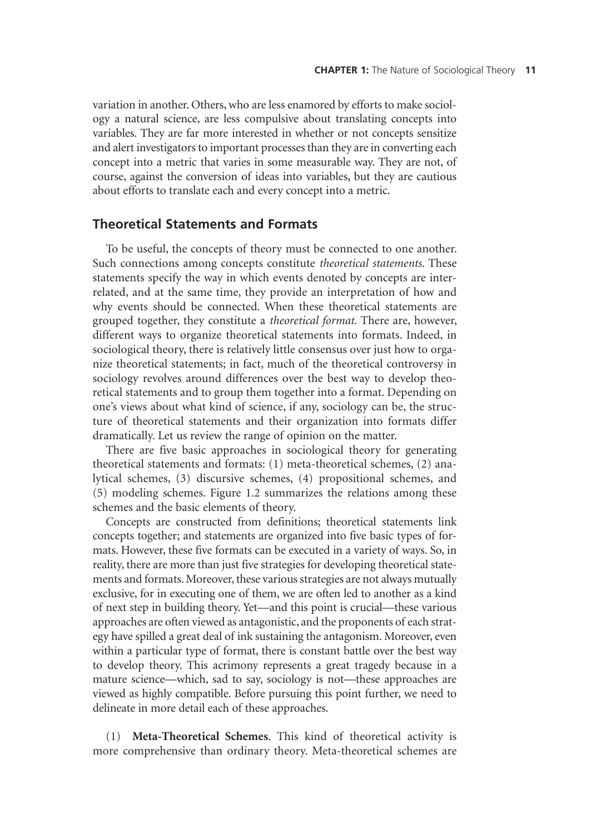variation in another. Others, who are less enamored by efforts to make sociology a natural science, are less compulsive about translating concepts into variables. They are far more interested in whether or not concepts sensitize and alert investigators to important processes than they are in converting each concept into a metric that varies in some measurable way. They are not, of course, against the conversion of ideas into variables, but they are cautious about efforts to translate each and every concept into a metric.

## **Theoretical Statements and Formats**

To be useful, the concepts of theory must be connected to one another. Such connections among concepts constitute *theoretical statements*. These statements specify the way in which events denoted by concepts are interrelated, and at the same time, they provide an interpretation of how and why events should be connected. When these theoretical statements are grouped together, they constitute a *theoretical format.* There are, however, different ways to organize theoretical statements into formats. Indeed, in sociological theory, there is relatively little consensus over just how to organize theoretical statements; in fact, much of the theoretical controversy in sociology revolves around differences over the best way to develop theoretical statements and to group them together into a format. Depending on one's views about what kind of science, if any, sociology can be, the structure of theoretical statements and their organization into formats differ dramatically. Let us review the range of opinion on the matter.

There are five basic approaches in sociological theory for generating theoretical statements and formats: (1) meta-theoretical schemes, (2) analytical schemes, (3) discursive schemes, (4) propositional schemes, and (5) modeling schemes. Figure 1.2 summarizes the relations among these schemes and the basic elements of theory.

Concepts are constructed from definitions; theoretical statements link concepts together; and statements are organized into five basic types of formats. However, these five formats can be executed in a variety of ways. So, in reality, there are more than just five strategies for developing theoretical statements and formats. Moreover, these various strategies are not always mutually exclusive, for in executing one of them, we are often led to another as a kind of next step in building theory. Yet—and this point is crucial—these various approaches are often viewed as antagonistic, and the proponents of each strategy have spilled a great deal of ink sustaining the antagonism. Moreover, even within a particular type of format, there is constant battle over the best way to develop theory. This acrimony represents a great tragedy because in a mature science—which, sad to say, sociology is not—these approaches are viewed as highly compatible. Before pursuing this point further, we need to delineate in more detail each of these approaches.

(1) **Meta-Theoretical Schemes**. This kind of theoretical activity is more comprehensive than ordinary theory. Meta-theoretical schemes are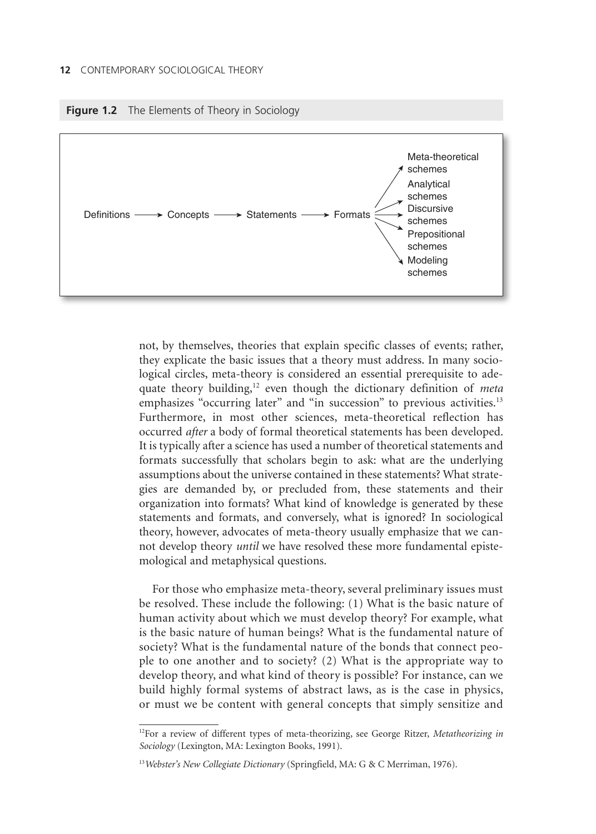

not, by themselves, theories that explain specific classes of events; rather, they explicate the basic issues that a theory must address. In many sociological circles, meta-theory is considered an essential prerequisite to adequate theory building,<sup>12</sup> even though the dictionary definition of *meta* emphasizes "occurring later" and "in succession" to previous activities.<sup>13</sup> Furthermore, in most other sciences, meta-theoretical reflection has occurred *after* a body of formal theoretical statements has been developed. It is typically after a science has used a number of theoretical statements and formats successfully that scholars begin to ask: what are the underlying assumptions about the universe contained in these statements? What strategies are demanded by, or precluded from, these statements and their organization into formats? What kind of knowledge is generated by these statements and formats, and conversely, what is ignored? In sociological theory, however, advocates of meta-theory usually emphasize that we cannot develop theory *until* we have resolved these more fundamental epistemological and metaphysical questions.

For those who emphasize meta-theory, several preliminary issues must be resolved. These include the following: (1) What is the basic nature of human activity about which we must develop theory? For example, what is the basic nature of human beings? What is the fundamental nature of society? What is the fundamental nature of the bonds that connect people to one another and to society? (2) What is the appropriate way to develop theory, and what kind of theory is possible? For instance, can we build highly formal systems of abstract laws, as is the case in physics, or must we be content with general concepts that simply sensitize and

<sup>12</sup>For a review of different types of meta-theorizing, see George Ritzer, *Metatheorizing in Sociology* (Lexington, MA: Lexington Books, 1991).

<sup>13</sup>*Webster's New Collegiate Dictionary* (Springfield, MA: G & C Merriman, 1976).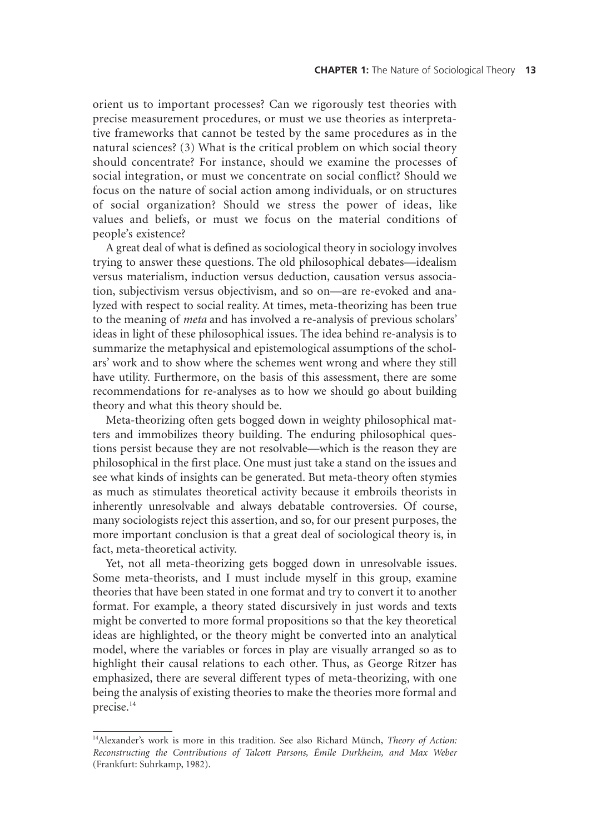orient us to important processes? Can we rigorously test theories with precise measurement procedures, or must we use theories as interpretative frameworks that cannot be tested by the same procedures as in the natural sciences? (3) What is the critical problem on which social theory should concentrate? For instance, should we examine the processes of social integration, or must we concentrate on social conflict? Should we focus on the nature of social action among individuals, or on structures of social organization? Should we stress the power of ideas, like values and beliefs, or must we focus on the material conditions of people's existence?

A great deal of what is defined as sociological theory in sociology involves trying to answer these questions. The old philosophical debates—idealism versus materialism, induction versus deduction, causation versus association, subjectivism versus objectivism, and so on—are re-evoked and analyzed with respect to social reality. At times, meta-theorizing has been true to the meaning of *meta* and has involved a re-analysis of previous scholars' ideas in light of these philosophical issues. The idea behind re-analysis is to summarize the metaphysical and epistemological assumptions of the scholars' work and to show where the schemes went wrong and where they still have utility. Furthermore, on the basis of this assessment, there are some recommendations for re-analyses as to how we should go about building theory and what this theory should be.

Meta-theorizing often gets bogged down in weighty philosophical matters and immobilizes theory building. The enduring philosophical questions persist because they are not resolvable—which is the reason they are philosophical in the first place. One must just take a stand on the issues and see what kinds of insights can be generated. But meta-theory often stymies as much as stimulates theoretical activity because it embroils theorists in inherently unresolvable and always debatable controversies. Of course, many sociologists reject this assertion, and so, for our present purposes, the more important conclusion is that a great deal of sociological theory is, in fact, meta-theoretical activity.

Yet, not all meta-theorizing gets bogged down in unresolvable issues. Some meta-theorists, and I must include myself in this group, examine theories that have been stated in one format and try to convert it to another format. For example, a theory stated discursively in just words and texts might be converted to more formal propositions so that the key theoretical ideas are highlighted, or the theory might be converted into an analytical model, where the variables or forces in play are visually arranged so as to highlight their causal relations to each other. Thus, as George Ritzer has emphasized, there are several different types of meta-theorizing, with one being the analysis of existing theories to make the theories more formal and precise.<sup>14</sup>

<sup>14</sup>Alexander's work is more in this tradition. See also Richard Münch, *Theory of Action: Reconstructing the Contributions of Talcott Parsons, Émile Durkheim, and Max Weber* (Frankfurt: Suhrkamp, 1982).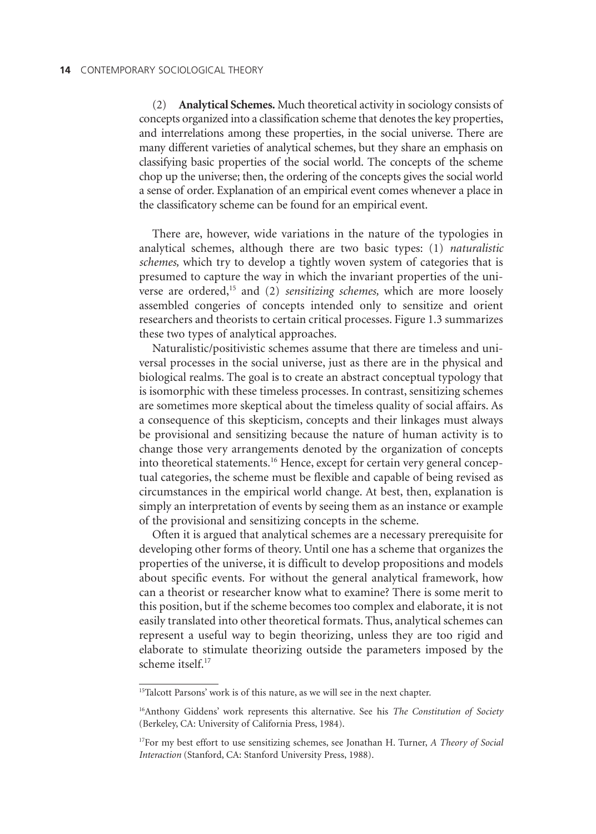(2) **Analytical Schemes.** Much theoretical activity in sociology consists of concepts organized into a classification scheme that denotes the key properties, and interrelations among these properties, in the social universe. There are many different varieties of analytical schemes, but they share an emphasis on classifying basic properties of the social world. The concepts of the scheme chop up the universe; then, the ordering of the concepts gives the social world a sense of order. Explanation of an empirical event comes whenever a place in the classificatory scheme can be found for an empirical event.

There are, however, wide variations in the nature of the typologies in analytical schemes, although there are two basic types: (1) *naturalistic schemes,* which try to develop a tightly woven system of categories that is presumed to capture the way in which the invariant properties of the universe are ordered,15 and (2) *sensitizing schemes,* which are more loosely assembled congeries of concepts intended only to sensitize and orient researchers and theorists to certain critical processes. Figure 1.3 summarizes these two types of analytical approaches.

Naturalistic/positivistic schemes assume that there are timeless and universal processes in the social universe, just as there are in the physical and biological realms. The goal is to create an abstract conceptual typology that is isomorphic with these timeless processes. In contrast, sensitizing schemes are sometimes more skeptical about the timeless quality of social affairs. As a consequence of this skepticism, concepts and their linkages must always be provisional and sensitizing because the nature of human activity is to change those very arrangements denoted by the organization of concepts into theoretical statements.<sup>16</sup> Hence, except for certain very general conceptual categories, the scheme must be flexible and capable of being revised as circumstances in the empirical world change. At best, then, explanation is simply an interpretation of events by seeing them as an instance or example of the provisional and sensitizing concepts in the scheme.

Often it is argued that analytical schemes are a necessary prerequisite for developing other forms of theory. Until one has a scheme that organizes the properties of the universe, it is difficult to develop propositions and models about specific events. For without the general analytical framework, how can a theorist or researcher know what to examine? There is some merit to this position, but if the scheme becomes too complex and elaborate, it is not easily translated into other theoretical formats. Thus, analytical schemes can represent a useful way to begin theorizing, unless they are too rigid and elaborate to stimulate theorizing outside the parameters imposed by the scheme itself.<sup>17</sup>

<sup>&</sup>lt;sup>15</sup>Talcott Parsons' work is of this nature, as we will see in the next chapter.

<sup>16</sup>Anthony Giddens' work represents this alternative. See his *The Constitution of Society* (Berkeley, CA: University of California Press, 1984).

<sup>17</sup>For my best effort to use sensitizing schemes, see Jonathan H. Turner, *A Theory of Social Interaction* (Stanford, CA: Stanford University Press, 1988).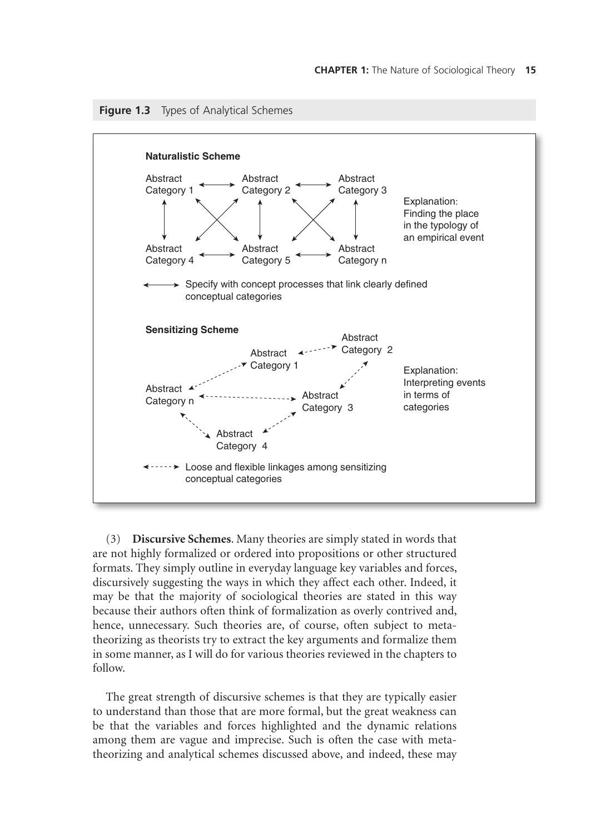

**Figure 1.3** Types of Analytical Schemes

(3) **Discursive Schemes**. Many theories are simply stated in words that are not highly formalized or ordered into propositions or other structured formats. They simply outline in everyday language key variables and forces, discursively suggesting the ways in which they affect each other. Indeed, it may be that the majority of sociological theories are stated in this way because their authors often think of formalization as overly contrived and, hence, unnecessary. Such theories are, of course, often subject to metatheorizing as theorists try to extract the key arguments and formalize them in some manner, as I will do for various theories reviewed in the chapters to follow.

The great strength of discursive schemes is that they are typically easier to understand than those that are more formal, but the great weakness can be that the variables and forces highlighted and the dynamic relations among them are vague and imprecise. Such is often the case with metatheorizing and analytical schemes discussed above, and indeed, these may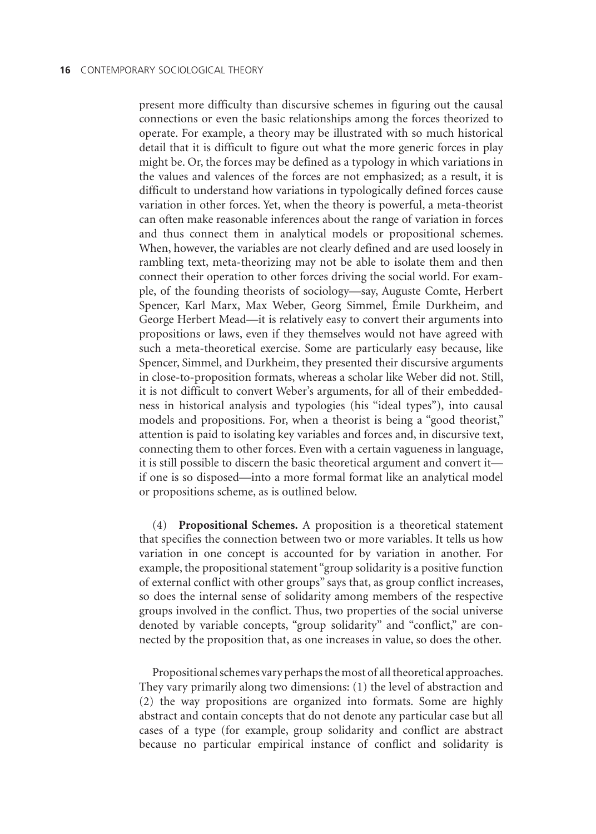present more difficulty than discursive schemes in figuring out the causal connections or even the basic relationships among the forces theorized to operate. For example, a theory may be illustrated with so much historical detail that it is difficult to figure out what the more generic forces in play might be. Or, the forces may be defined as a typology in which variations in the values and valences of the forces are not emphasized; as a result, it is difficult to understand how variations in typologically defined forces cause variation in other forces. Yet, when the theory is powerful, a meta-theorist can often make reasonable inferences about the range of variation in forces and thus connect them in analytical models or propositional schemes. When, however, the variables are not clearly defined and are used loosely in rambling text, meta-theorizing may not be able to isolate them and then connect their operation to other forces driving the social world. For example, of the founding theorists of sociology—say, Auguste Comte, Herbert Spencer, Karl Marx, Max Weber, Georg Simmel, Émile Durkheim, and George Herbert Mead—it is relatively easy to convert their arguments into propositions or laws, even if they themselves would not have agreed with such a meta-theoretical exercise. Some are particularly easy because, like Spencer, Simmel, and Durkheim, they presented their discursive arguments in close-to-proposition formats, whereas a scholar like Weber did not. Still, it is not difficult to convert Weber's arguments, for all of their embeddedness in historical analysis and typologies (his "ideal types"), into causal models and propositions. For, when a theorist is being a "good theorist," attention is paid to isolating key variables and forces and, in discursive text, connecting them to other forces. Even with a certain vagueness in language, it is still possible to discern the basic theoretical argument and convert it if one is so disposed—into a more formal format like an analytical model or propositions scheme, as is outlined below.

(4) **Propositional Schemes.** A proposition is a theoretical statement that specifies the connection between two or more variables. It tells us how variation in one concept is accounted for by variation in another. For example, the propositional statement "group solidarity is a positive function of external conflict with other groups" says that, as group conflict increases, so does the internal sense of solidarity among members of the respective groups involved in the conflict. Thus, two properties of the social universe denoted by variable concepts, "group solidarity" and "conflict," are connected by the proposition that, as one increases in value, so does the other.

Propositional schemes vary perhaps the most of all theoretical approaches. They vary primarily along two dimensions: (1) the level of abstraction and (2) the way propositions are organized into formats. Some are highly abstract and contain concepts that do not denote any particular case but all cases of a type (for example, group solidarity and conflict are abstract because no particular empirical instance of conflict and solidarity is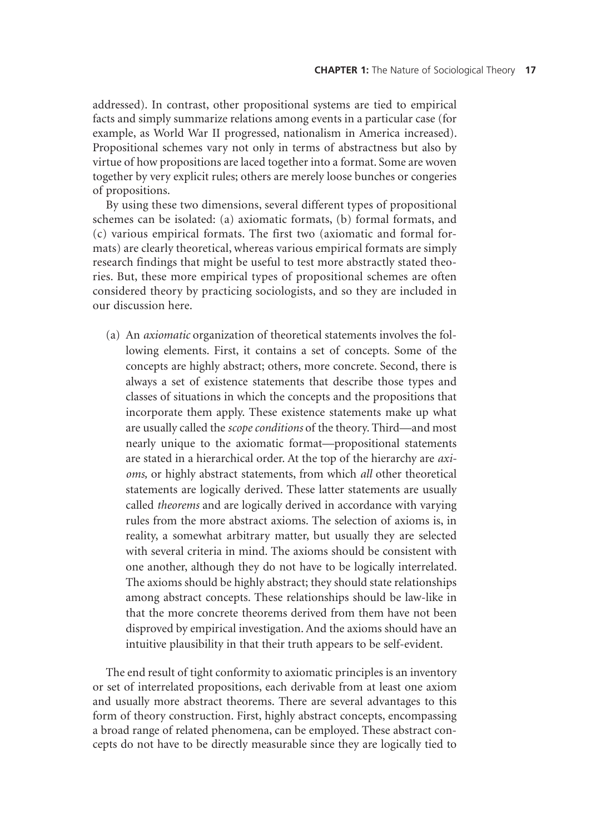addressed). In contrast, other propositional systems are tied to empirical facts and simply summarize relations among events in a particular case (for example, as World War II progressed, nationalism in America increased). Propositional schemes vary not only in terms of abstractness but also by virtue of how propositions are laced together into a format. Some are woven together by very explicit rules; others are merely loose bunches or congeries of propositions.

By using these two dimensions, several different types of propositional schemes can be isolated: (a) axiomatic formats, (b) formal formats, and (c) various empirical formats. The first two (axiomatic and formal formats) are clearly theoretical, whereas various empirical formats are simply research findings that might be useful to test more abstractly stated theories. But, these more empirical types of propositional schemes are often considered theory by practicing sociologists, and so they are included in our discussion here.

(a) An *axiomatic* organization of theoretical statements involves the following elements. First, it contains a set of concepts. Some of the concepts are highly abstract; others, more concrete. Second, there is always a set of existence statements that describe those types and classes of situations in which the concepts and the propositions that incorporate them apply. These existence statements make up what are usually called the *scope conditions* of the theory. Third—and most nearly unique to the axiomatic format—propositional statements are stated in a hierarchical order. At the top of the hierarchy are *axioms,* or highly abstract statements, from which *all* other theoretical statements are logically derived. These latter statements are usually called *theorems* and are logically derived in accordance with varying rules from the more abstract axioms. The selection of axioms is, in reality, a somewhat arbitrary matter, but usually they are selected with several criteria in mind. The axioms should be consistent with one another, although they do not have to be logically interrelated. The axioms should be highly abstract; they should state relationships among abstract concepts. These relationships should be law-like in that the more concrete theorems derived from them have not been disproved by empirical investigation. And the axioms should have an intuitive plausibility in that their truth appears to be self-evident.

The end result of tight conformity to axiomatic principles is an inventory or set of interrelated propositions, each derivable from at least one axiom and usually more abstract theorems. There are several advantages to this form of theory construction. First, highly abstract concepts, encompassing a broad range of related phenomena, can be employed. These abstract concepts do not have to be directly measurable since they are logically tied to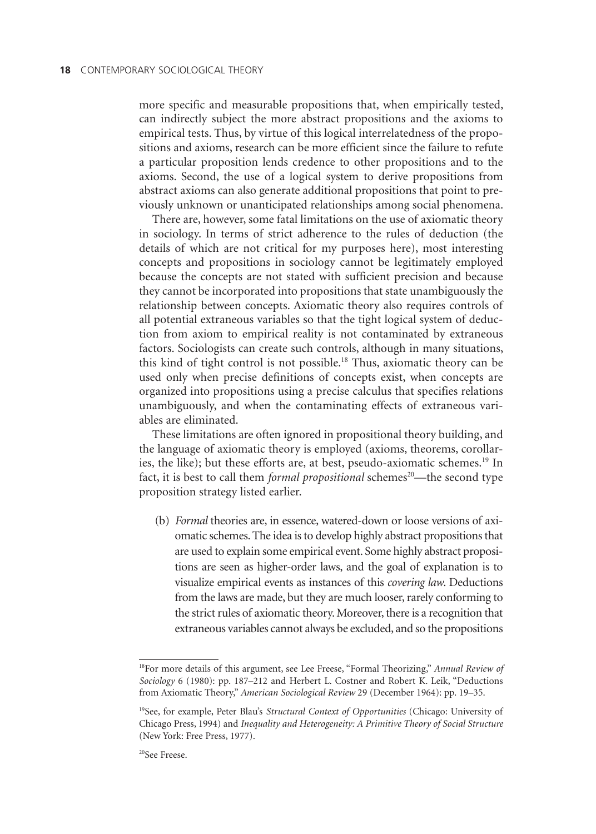more specific and measurable propositions that, when empirically tested, can indirectly subject the more abstract propositions and the axioms to empirical tests. Thus, by virtue of this logical interrelatedness of the propositions and axioms, research can be more efficient since the failure to refute a particular proposition lends credence to other propositions and to the axioms. Second, the use of a logical system to derive propositions from abstract axioms can also generate additional propositions that point to previously unknown or unanticipated relationships among social phenomena.

There are, however, some fatal limitations on the use of axiomatic theory in sociology. In terms of strict adherence to the rules of deduction (the details of which are not critical for my purposes here), most interesting concepts and propositions in sociology cannot be legitimately employed because the concepts are not stated with sufficient precision and because they cannot be incorporated into propositions that state unambiguously the relationship between concepts. Axiomatic theory also requires controls of all potential extraneous variables so that the tight logical system of deduction from axiom to empirical reality is not contaminated by extraneous factors. Sociologists can create such controls, although in many situations, this kind of tight control is not possible.<sup>18</sup> Thus, axiomatic theory can be used only when precise definitions of concepts exist, when concepts are organized into propositions using a precise calculus that specifies relations unambiguously, and when the contaminating effects of extraneous variables are eliminated.

These limitations are often ignored in propositional theory building, and the language of axiomatic theory is employed (axioms, theorems, corollaries, the like); but these efforts are, at best, pseudo-axiomatic schemes.<sup>19</sup> In fact, it is best to call them *formal propositional* schemes<sup>20</sup>—the second type proposition strategy listed earlier.

(b) *Formal* theories are, in essence, watered-down or loose versions of axiomatic schemes. The idea is to develop highly abstract propositions that are used to explain some empirical event. Some highly abstract propositions are seen as higher-order laws, and the goal of explanation is to visualize empirical events as instances of this *covering law*. Deductions from the laws are made, but they are much looser, rarely conforming to the strict rules of axiomatic theory. Moreover, there is a recognition that extraneous variables cannot always be excluded, and so the propositions

<sup>18</sup>For more details of this argument, see Lee Freese, "Formal Theorizing," *Annual Review of Sociology* 6 (1980): pp. 187–212 and Herbert L. Costner and Robert K. Leik, "Deductions from Axiomatic Theory," *American Sociological Review* 29 (December 1964): pp. 19–35.

<sup>19</sup>See, for example, Peter Blau's *Structural Context of Opportunities* (Chicago: University of Chicago Press, 1994) and *Inequality and Heterogeneity: A Primitive Theory of Social Structure* (New York: Free Press, 1977).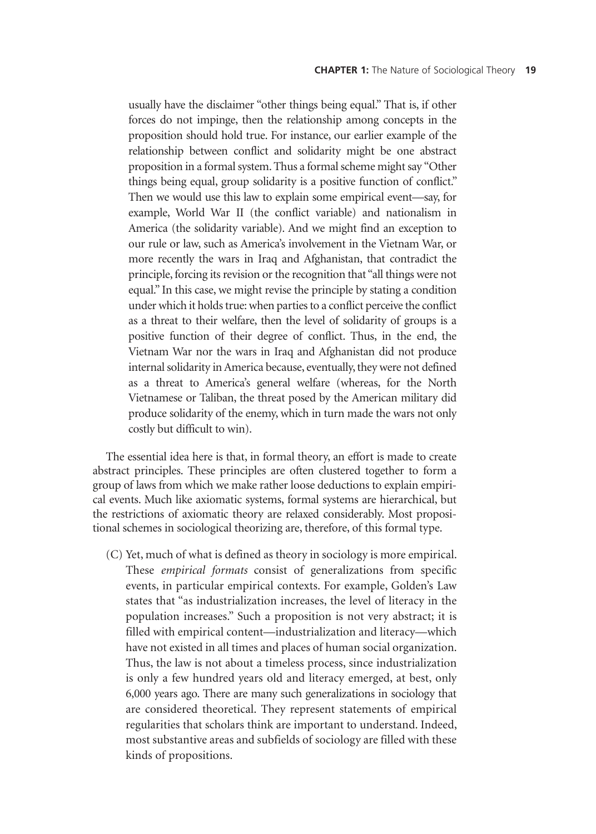usually have the disclaimer "other things being equal." That is, if other forces do not impinge, then the relationship among concepts in the proposition should hold true. For instance, our earlier example of the relationship between conflict and solidarity might be one abstract proposition in a formal system. Thus a formal scheme might say "Other things being equal, group solidarity is a positive function of conflict." Then we would use this law to explain some empirical event—say, for example, World War II (the conflict variable) and nationalism in America (the solidarity variable). And we might find an exception to our rule or law, such as America's involvement in the Vietnam War, or more recently the wars in Iraq and Afghanistan, that contradict the principle, forcing its revision or the recognition that "all things were not equal." In this case, we might revise the principle by stating a condition under which it holds true: when parties to a conflict perceive the conflict as a threat to their welfare, then the level of solidarity of groups is a positive function of their degree of conflict. Thus, in the end, the Vietnam War nor the wars in Iraq and Afghanistan did not produce internal solidarity in America because, eventually, they were not defined as a threat to America's general welfare (whereas, for the North Vietnamese or Taliban, the threat posed by the American military did produce solidarity of the enemy, which in turn made the wars not only costly but difficult to win).

The essential idea here is that, in formal theory, an effort is made to create abstract principles. These principles are often clustered together to form a group of laws from which we make rather loose deductions to explain empirical events. Much like axiomatic systems, formal systems are hierarchical, but the restrictions of axiomatic theory are relaxed considerably. Most propositional schemes in sociological theorizing are, therefore, of this formal type.

(C) Yet, much of what is defined as theory in sociology is more empirical. These *empirical formats* consist of generalizations from specific events, in particular empirical contexts. For example, Golden's Law states that "as industrialization increases, the level of literacy in the population increases." Such a proposition is not very abstract; it is filled with empirical content—industrialization and literacy—which have not existed in all times and places of human social organization. Thus, the law is not about a timeless process, since industrialization is only a few hundred years old and literacy emerged, at best, only 6,000 years ago. There are many such generalizations in sociology that are considered theoretical. They represent statements of empirical regularities that scholars think are important to understand. Indeed, most substantive areas and subfields of sociology are filled with these kinds of propositions.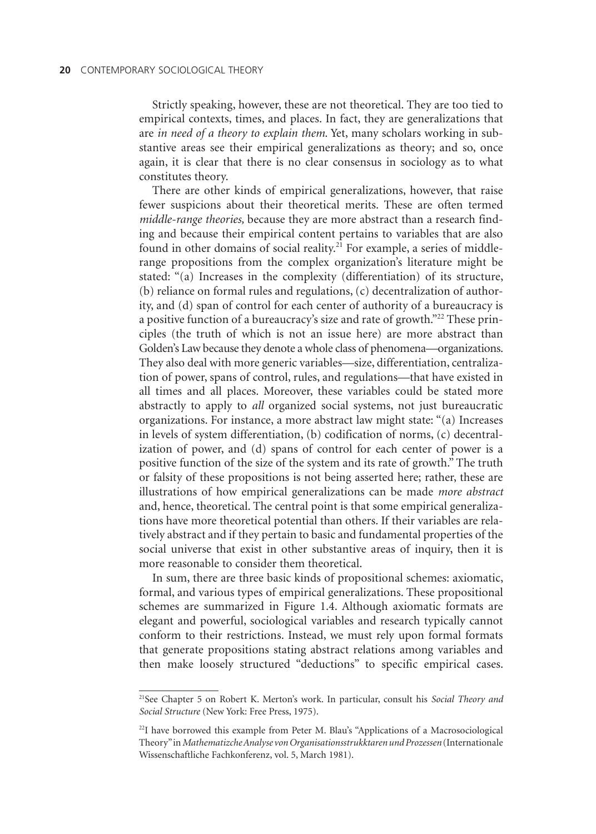Strictly speaking, however, these are not theoretical. They are too tied to empirical contexts, times, and places. In fact, they are generalizations that are *in need of a theory to explain them*. Yet, many scholars working in substantive areas see their empirical generalizations as theory; and so, once again, it is clear that there is no clear consensus in sociology as to what constitutes theory.

There are other kinds of empirical generalizations, however, that raise fewer suspicions about their theoretical merits. These are often termed *middle-range theories,* because they are more abstract than a research finding and because their empirical content pertains to variables that are also found in other domains of social reality.<sup>21</sup> For example, a series of middlerange propositions from the complex organization's literature might be stated: "(a) Increases in the complexity (differentiation) of its structure, (b) reliance on formal rules and regulations, (c) decentralization of authority, and (d) span of control for each center of authority of a bureaucracy is a positive function of a bureaucracy's size and rate of growth."22 These principles (the truth of which is not an issue here) are more abstract than Golden's Law because they denote a whole class of phenomena—organizations. They also deal with more generic variables—size, differentiation, centralization of power, spans of control, rules, and regulations—that have existed in all times and all places. Moreover, these variables could be stated more abstractly to apply to *all* organized social systems, not just bureaucratic organizations. For instance, a more abstract law might state: "(a) Increases in levels of system differentiation, (b) codification of norms, (c) decentralization of power, and (d) spans of control for each center of power is a positive function of the size of the system and its rate of growth." The truth or falsity of these propositions is not being asserted here; rather, these are illustrations of how empirical generalizations can be made *more abstract* and, hence, theoretical. The central point is that some empirical generalizations have more theoretical potential than others. If their variables are relatively abstract and if they pertain to basic and fundamental properties of the social universe that exist in other substantive areas of inquiry, then it is more reasonable to consider them theoretical.

In sum, there are three basic kinds of propositional schemes: axiomatic, formal, and various types of empirical generalizations. These propositional schemes are summarized in Figure 1.4. Although axiomatic formats are elegant and powerful, sociological variables and research typically cannot conform to their restrictions. Instead, we must rely upon formal formats that generate propositions stating abstract relations among variables and then make loosely structured "deductions" to specific empirical cases.

<sup>21</sup>See Chapter 5 on Robert K. Merton's work. In particular, consult his *Social Theory and Social Structure* (New York: Free Press, 1975).

 $^{22}$ I have borrowed this example from Peter M. Blau's "Applications of a Macrosociological Theory" in *Mathematizche Analyse von Organisationsstrukktaren und Prozessen* (Internationale Wissenschaftliche Fachkonferenz, vol. 5, March 1981).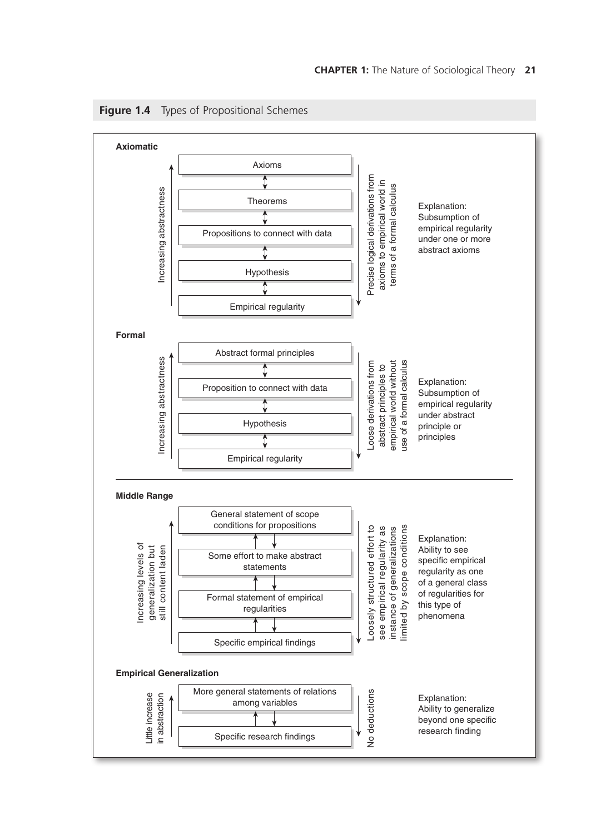

**Figure 1.4** Types of Propositional Schemes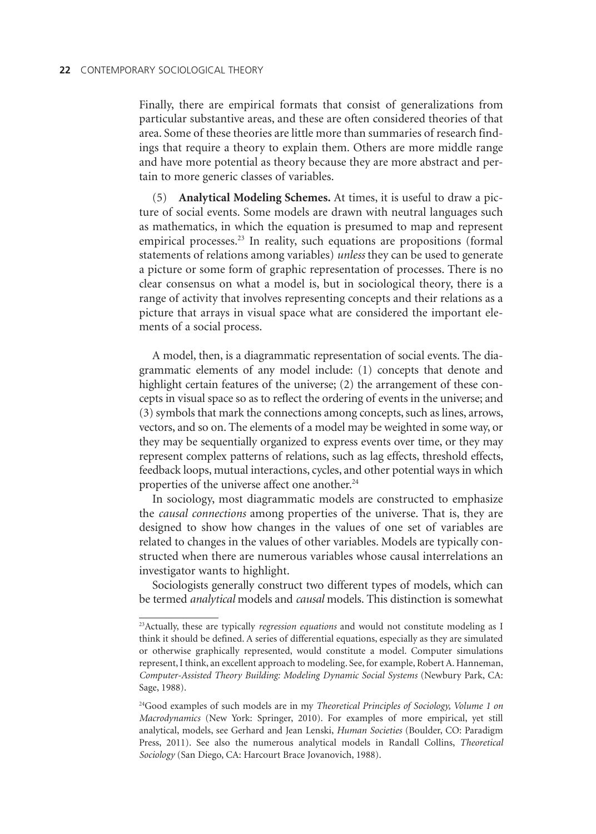#### **22** CONTEMPORARY SOCIOLOGICAL THEORY

Finally, there are empirical formats that consist of generalizations from particular substantive areas, and these are often considered theories of that area. Some of these theories are little more than summaries of research findings that require a theory to explain them. Others are more middle range and have more potential as theory because they are more abstract and pertain to more generic classes of variables.

(5) **Analytical Modeling Schemes.** At times, it is useful to draw a picture of social events. Some models are drawn with neutral languages such as mathematics, in which the equation is presumed to map and represent empirical processes.<sup>23</sup> In reality, such equations are propositions (formal statements of relations among variables) *unless* they can be used to generate a picture or some form of graphic representation of processes. There is no clear consensus on what a model is, but in sociological theory, there is a range of activity that involves representing concepts and their relations as a picture that arrays in visual space what are considered the important elements of a social process.

A model, then, is a diagrammatic representation of social events. The diagrammatic elements of any model include: (1) concepts that denote and highlight certain features of the universe; (2) the arrangement of these concepts in visual space so as to reflect the ordering of events in the universe; and (3) symbols that mark the connections among concepts, such as lines, arrows, vectors, and so on. The elements of a model may be weighted in some way, or they may be sequentially organized to express events over time, or they may represent complex patterns of relations, such as lag effects, threshold effects, feedback loops, mutual interactions, cycles, and other potential ways in which properties of the universe affect one another.<sup>24</sup>

In sociology, most diagrammatic models are constructed to emphasize the *causal connections* among properties of the universe. That is, they are designed to show how changes in the values of one set of variables are related to changes in the values of other variables. Models are typically constructed when there are numerous variables whose causal interrelations an investigator wants to highlight.

Sociologists generally construct two different types of models, which can be termed *analytical* models and *causal* models. This distinction is somewhat

<sup>&</sup>lt;sup>23</sup> Actually, these are typically *regression equations* and would not constitute modeling as I think it should be defined. A series of differential equations, especially as they are simulated or otherwise graphically represented, would constitute a model. Computer simulations represent, I think, an excellent approach to modeling. See, for example, Robert A. Hanneman, *Computer-Assisted Theory Building: Modeling Dynamic Social Systems* (Newbury Park, CA: Sage, 1988).

<sup>24</sup>Good examples of such models are in my *Theoretical Principles of Sociology, Volume 1 on Macrodynamics* (New York: Springer, 2010). For examples of more empirical, yet still analytical, models, see Gerhard and Jean Lenski, *Human Societies* (Boulder, CO: Paradigm Press, 2011). See also the numerous analytical models in Randall Collins, *Theoretical Sociology* (San Diego, CA: Harcourt Brace Jovanovich, 1988).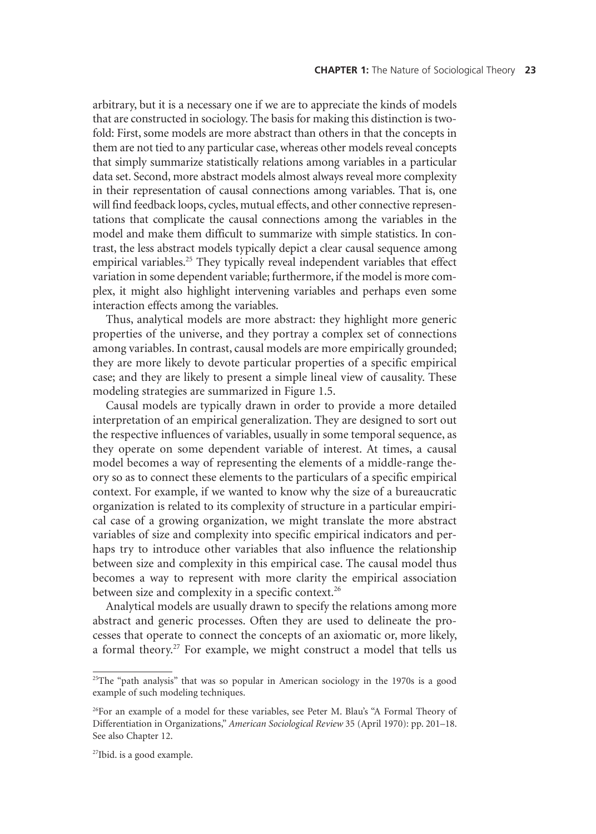arbitrary, but it is a necessary one if we are to appreciate the kinds of models that are constructed in sociology. The basis for making this distinction is twofold: First, some models are more abstract than others in that the concepts in them are not tied to any particular case, whereas other models reveal concepts that simply summarize statistically relations among variables in a particular data set. Second, more abstract models almost always reveal more complexity in their representation of causal connections among variables. That is, one will find feedback loops, cycles, mutual effects, and other connective representations that complicate the causal connections among the variables in the model and make them difficult to summarize with simple statistics. In contrast, the less abstract models typically depict a clear causal sequence among empirical variables.<sup>25</sup> They typically reveal independent variables that effect variation in some dependent variable; furthermore, if the model is more complex, it might also highlight intervening variables and perhaps even some interaction effects among the variables.

Thus, analytical models are more abstract: they highlight more generic properties of the universe, and they portray a complex set of connections among variables. In contrast, causal models are more empirically grounded; they are more likely to devote particular properties of a specific empirical case; and they are likely to present a simple lineal view of causality. These modeling strategies are summarized in Figure 1.5.

Causal models are typically drawn in order to provide a more detailed interpretation of an empirical generalization. They are designed to sort out the respective influences of variables, usually in some temporal sequence, as they operate on some dependent variable of interest. At times, a causal model becomes a way of representing the elements of a middle-range theory so as to connect these elements to the particulars of a specific empirical context. For example, if we wanted to know why the size of a bureaucratic organization is related to its complexity of structure in a particular empirical case of a growing organization, we might translate the more abstract variables of size and complexity into specific empirical indicators and perhaps try to introduce other variables that also influence the relationship between size and complexity in this empirical case. The causal model thus becomes a way to represent with more clarity the empirical association between size and complexity in a specific context.<sup>26</sup>

Analytical models are usually drawn to specify the relations among more abstract and generic processes. Often they are used to delineate the processes that operate to connect the concepts of an axiomatic or, more likely, a formal theory.<sup>27</sup> For example, we might construct a model that tells us

<sup>&</sup>lt;sup>25</sup>The "path analysis" that was so popular in American sociology in the 1970s is a good example of such modeling techniques.

 $26$ For an example of a model for these variables, see Peter M. Blau's "A Formal Theory of Differentiation in Organizations," *American Sociological Review* 35 (April 1970): pp. 201–18. See also Chapter 12.

<sup>27</sup>Ibid. is a good example.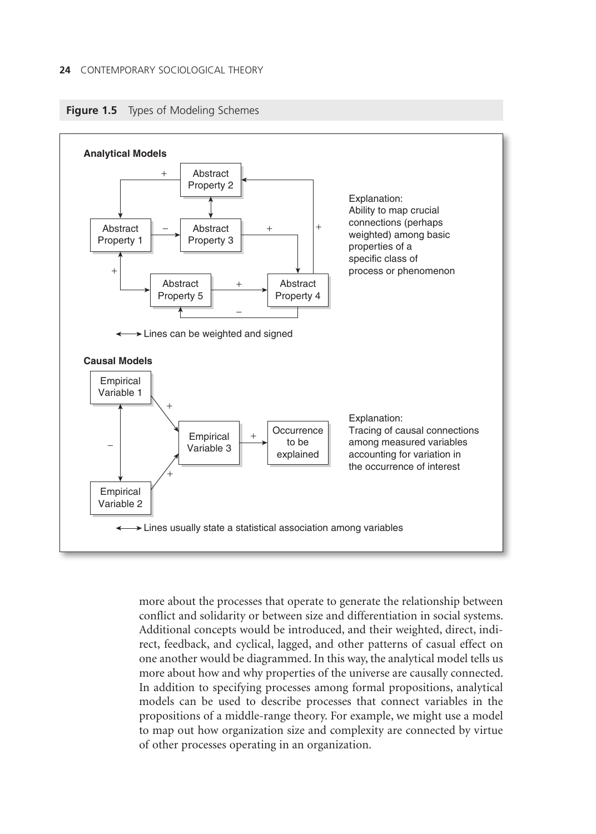

**Figure 1.5** Types of Modeling Schemes

more about the processes that operate to generate the relationship between conflict and solidarity or between size and differentiation in social systems. Additional concepts would be introduced, and their weighted, direct, indirect, feedback, and cyclical, lagged, and other patterns of casual effect on one another would be diagrammed. In this way, the analytical model tells us more about how and why properties of the universe are causally connected. In addition to specifying processes among formal propositions, analytical models can be used to describe processes that connect variables in the propositions of a middle-range theory. For example, we might use a model to map out how organization size and complexity are connected by virtue of other processes operating in an organization.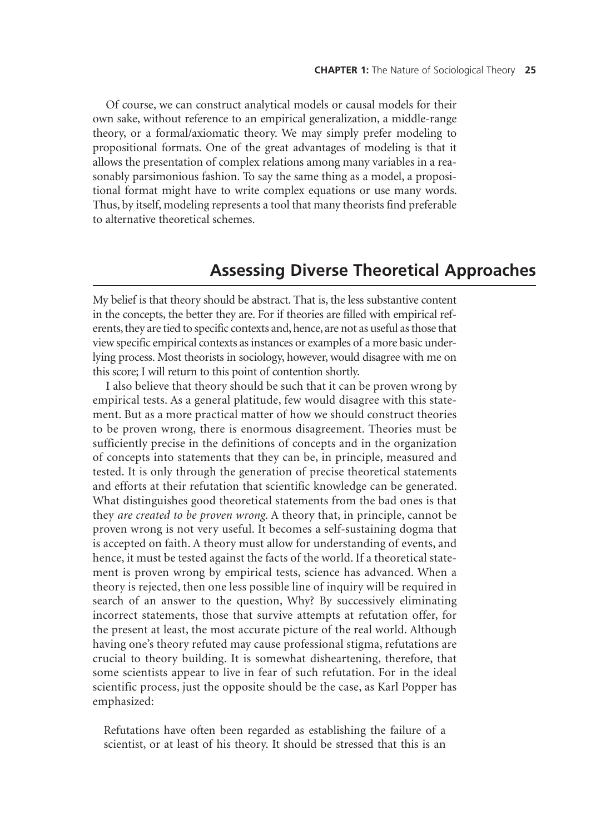Of course, we can construct analytical models or causal models for their own sake, without reference to an empirical generalization, a middle-range theory, or a formal/axiomatic theory. We may simply prefer modeling to propositional formats. One of the great advantages of modeling is that it allows the presentation of complex relations among many variables in a reasonably parsimonious fashion. To say the same thing as a model, a propositional format might have to write complex equations or use many words. Thus, by itself, modeling represents a tool that many theorists find preferable to alternative theoretical schemes.

## **Assessing Diverse Theoretical Approaches**

My belief is that theory should be abstract. That is, the less substantive content in the concepts, the better they are. For if theories are filled with empirical referents, they are tied to specific contexts and, hence, are not as useful as those that view specific empirical contexts as instances or examples of a more basic underlying process. Most theorists in sociology, however, would disagree with me on this score; I will return to this point of contention shortly.

I also believe that theory should be such that it can be proven wrong by empirical tests. As a general platitude, few would disagree with this statement. But as a more practical matter of how we should construct theories to be proven wrong, there is enormous disagreement. Theories must be sufficiently precise in the definitions of concepts and in the organization of concepts into statements that they can be, in principle, measured and tested. It is only through the generation of precise theoretical statements and efforts at their refutation that scientific knowledge can be generated. What distinguishes good theoretical statements from the bad ones is that they *are created to be proven wrong*. A theory that, in principle, cannot be proven wrong is not very useful. It becomes a self-sustaining dogma that is accepted on faith. A theory must allow for understanding of events, and hence, it must be tested against the facts of the world. If a theoretical statement is proven wrong by empirical tests, science has advanced. When a theory is rejected, then one less possible line of inquiry will be required in search of an answer to the question, Why? By successively eliminating incorrect statements, those that survive attempts at refutation offer, for the present at least, the most accurate picture of the real world. Although having one's theory refuted may cause professional stigma, refutations are crucial to theory building. It is somewhat disheartening, therefore, that some scientists appear to live in fear of such refutation. For in the ideal scientific process, just the opposite should be the case, as Karl Popper has emphasized:

Refutations have often been regarded as establishing the failure of a scientist, or at least of his theory. It should be stressed that this is an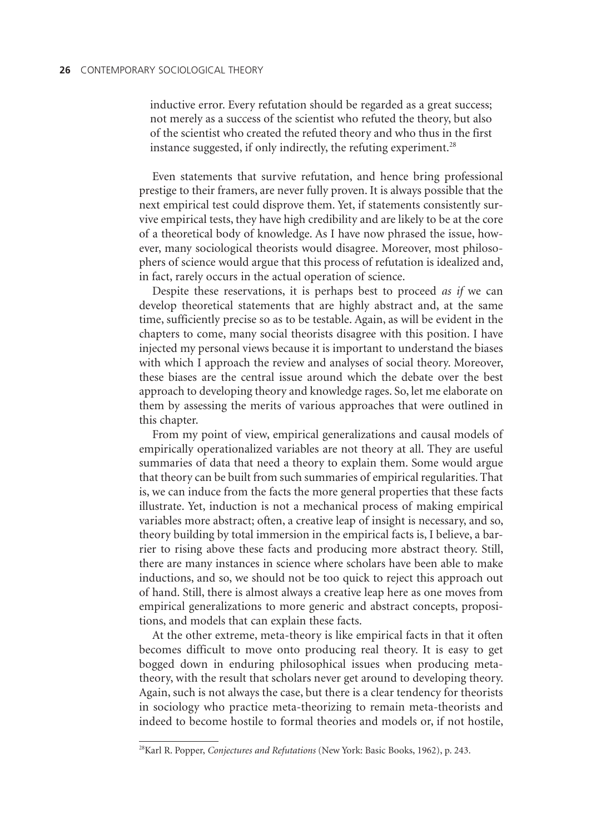inductive error. Every refutation should be regarded as a great success; not merely as a success of the scientist who refuted the theory, but also of the scientist who created the refuted theory and who thus in the first instance suggested, if only indirectly, the refuting experiment.<sup>28</sup>

Even statements that survive refutation, and hence bring professional prestige to their framers, are never fully proven. It is always possible that the next empirical test could disprove them. Yet, if statements consistently survive empirical tests, they have high credibility and are likely to be at the core of a theoretical body of knowledge. As I have now phrased the issue, however, many sociological theorists would disagree. Moreover, most philosophers of science would argue that this process of refutation is idealized and, in fact, rarely occurs in the actual operation of science.

Despite these reservations, it is perhaps best to proceed *as if* we can develop theoretical statements that are highly abstract and, at the same time, sufficiently precise so as to be testable. Again, as will be evident in the chapters to come, many social theorists disagree with this position. I have injected my personal views because it is important to understand the biases with which I approach the review and analyses of social theory. Moreover, these biases are the central issue around which the debate over the best approach to developing theory and knowledge rages. So, let me elaborate on them by assessing the merits of various approaches that were outlined in this chapter.

From my point of view, empirical generalizations and causal models of empirically operationalized variables are not theory at all. They are useful summaries of data that need a theory to explain them. Some would argue that theory can be built from such summaries of empirical regularities. That is, we can induce from the facts the more general properties that these facts illustrate. Yet, induction is not a mechanical process of making empirical variables more abstract; often, a creative leap of insight is necessary, and so, theory building by total immersion in the empirical facts is, I believe, a barrier to rising above these facts and producing more abstract theory. Still, there are many instances in science where scholars have been able to make inductions, and so, we should not be too quick to reject this approach out of hand. Still, there is almost always a creative leap here as one moves from empirical generalizations to more generic and abstract concepts, propositions, and models that can explain these facts.

At the other extreme, meta-theory is like empirical facts in that it often becomes difficult to move onto producing real theory. It is easy to get bogged down in enduring philosophical issues when producing metatheory, with the result that scholars never get around to developing theory. Again, such is not always the case, but there is a clear tendency for theorists in sociology who practice meta-theorizing to remain meta-theorists and indeed to become hostile to formal theories and models or, if not hostile,

<sup>28</sup>Karl R. Popper, *Conjectures and Refutations* (New York: Basic Books, 1962), p. 243.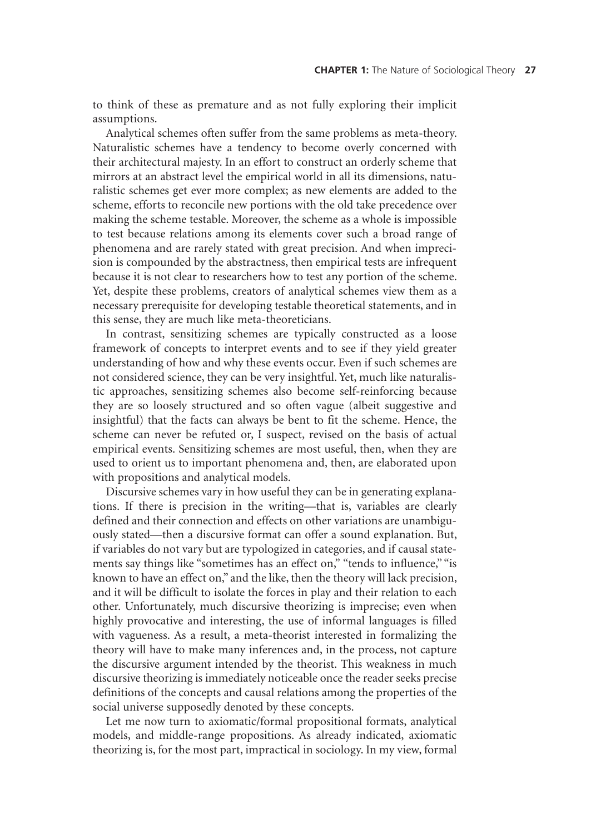to think of these as premature and as not fully exploring their implicit assumptions.

Analytical schemes often suffer from the same problems as meta-theory. Naturalistic schemes have a tendency to become overly concerned with their architectural majesty. In an effort to construct an orderly scheme that mirrors at an abstract level the empirical world in all its dimensions, naturalistic schemes get ever more complex; as new elements are added to the scheme, efforts to reconcile new portions with the old take precedence over making the scheme testable. Moreover, the scheme as a whole is impossible to test because relations among its elements cover such a broad range of phenomena and are rarely stated with great precision. And when imprecision is compounded by the abstractness, then empirical tests are infrequent because it is not clear to researchers how to test any portion of the scheme. Yet, despite these problems, creators of analytical schemes view them as a necessary prerequisite for developing testable theoretical statements, and in this sense, they are much like meta-theoreticians.

In contrast, sensitizing schemes are typically constructed as a loose framework of concepts to interpret events and to see if they yield greater understanding of how and why these events occur. Even if such schemes are not considered science, they can be very insightful. Yet, much like naturalistic approaches, sensitizing schemes also become self-reinforcing because they are so loosely structured and so often vague (albeit suggestive and insightful) that the facts can always be bent to fit the scheme. Hence, the scheme can never be refuted or, I suspect, revised on the basis of actual empirical events. Sensitizing schemes are most useful, then, when they are used to orient us to important phenomena and, then, are elaborated upon with propositions and analytical models.

Discursive schemes vary in how useful they can be in generating explanations. If there is precision in the writing—that is, variables are clearly defined and their connection and effects on other variations are unambiguously stated—then a discursive format can offer a sound explanation. But, if variables do not vary but are typologized in categories, and if causal statements say things like "sometimes has an effect on," "tends to influence," "is known to have an effect on," and the like, then the theory will lack precision, and it will be difficult to isolate the forces in play and their relation to each other. Unfortunately, much discursive theorizing is imprecise; even when highly provocative and interesting, the use of informal languages is filled with vagueness. As a result, a meta-theorist interested in formalizing the theory will have to make many inferences and, in the process, not capture the discursive argument intended by the theorist. This weakness in much discursive theorizing is immediately noticeable once the reader seeks precise definitions of the concepts and causal relations among the properties of the social universe supposedly denoted by these concepts.

Let me now turn to axiomatic/formal propositional formats, analytical models, and middle-range propositions. As already indicated, axiomatic theorizing is, for the most part, impractical in sociology. In my view, formal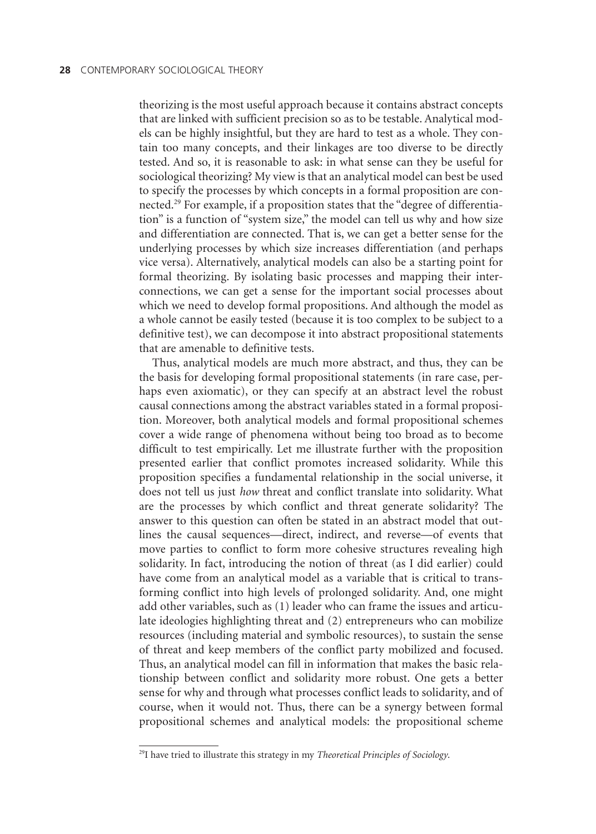theorizing is the most useful approach because it contains abstract concepts that are linked with sufficient precision so as to be testable. Analytical models can be highly insightful, but they are hard to test as a whole. They contain too many concepts, and their linkages are too diverse to be directly tested. And so, it is reasonable to ask: in what sense can they be useful for sociological theorizing? My view is that an analytical model can best be used to specify the processes by which concepts in a formal proposition are connected.<sup>29</sup> For example, if a proposition states that the "degree of differentiation" is a function of "system size," the model can tell us why and how size and differentiation are connected. That is, we can get a better sense for the underlying processes by which size increases differentiation (and perhaps vice versa). Alternatively, analytical models can also be a starting point for formal theorizing. By isolating basic processes and mapping their interconnections, we can get a sense for the important social processes about which we need to develop formal propositions. And although the model as a whole cannot be easily tested (because it is too complex to be subject to a definitive test), we can decompose it into abstract propositional statements that are amenable to definitive tests.

Thus, analytical models are much more abstract, and thus, they can be the basis for developing formal propositional statements (in rare case, perhaps even axiomatic), or they can specify at an abstract level the robust causal connections among the abstract variables stated in a formal proposition. Moreover, both analytical models and formal propositional schemes cover a wide range of phenomena without being too broad as to become difficult to test empirically. Let me illustrate further with the proposition presented earlier that conflict promotes increased solidarity. While this proposition specifies a fundamental relationship in the social universe, it does not tell us just *how* threat and conflict translate into solidarity. What are the processes by which conflict and threat generate solidarity? The answer to this question can often be stated in an abstract model that outlines the causal sequences—direct, indirect, and reverse—of events that move parties to conflict to form more cohesive structures revealing high solidarity. In fact, introducing the notion of threat (as I did earlier) could have come from an analytical model as a variable that is critical to transforming conflict into high levels of prolonged solidarity. And, one might add other variables, such as (1) leader who can frame the issues and articulate ideologies highlighting threat and (2) entrepreneurs who can mobilize resources (including material and symbolic resources), to sustain the sense of threat and keep members of the conflict party mobilized and focused. Thus, an analytical model can fill in information that makes the basic relationship between conflict and solidarity more robust. One gets a better sense for why and through what processes conflict leads to solidarity, and of course, when it would not. Thus, there can be a synergy between formal propositional schemes and analytical models: the propositional scheme

<sup>29</sup>I have tried to illustrate this strategy in my *Theoretical Principles of Sociology*.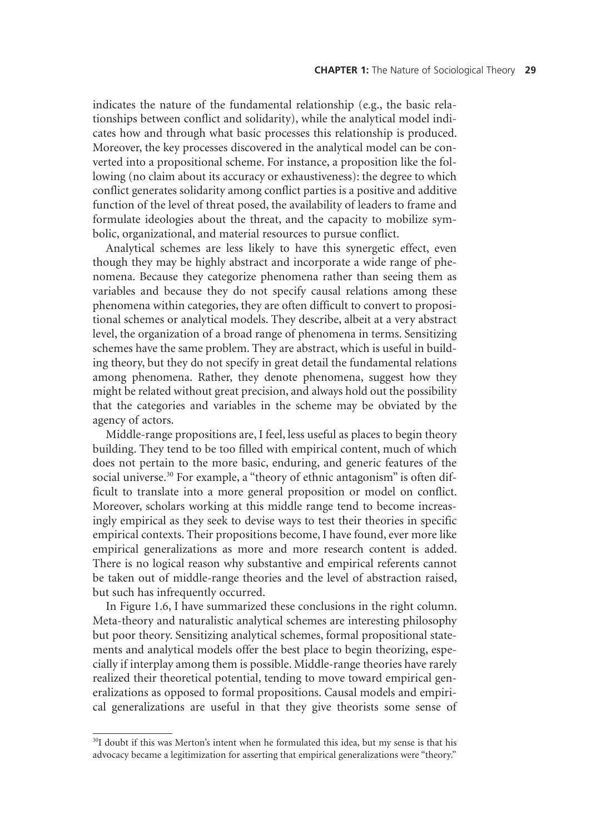indicates the nature of the fundamental relationship (e.g., the basic relationships between conflict and solidarity), while the analytical model indicates how and through what basic processes this relationship is produced. Moreover, the key processes discovered in the analytical model can be converted into a propositional scheme. For instance, a proposition like the following (no claim about its accuracy or exhaustiveness): the degree to which conflict generates solidarity among conflict parties is a positive and additive function of the level of threat posed, the availability of leaders to frame and formulate ideologies about the threat, and the capacity to mobilize symbolic, organizational, and material resources to pursue conflict.

Analytical schemes are less likely to have this synergetic effect, even though they may be highly abstract and incorporate a wide range of phenomena. Because they categorize phenomena rather than seeing them as variables and because they do not specify causal relations among these phenomena within categories, they are often difficult to convert to propositional schemes or analytical models. They describe, albeit at a very abstract level, the organization of a broad range of phenomena in terms. Sensitizing schemes have the same problem. They are abstract, which is useful in building theory, but they do not specify in great detail the fundamental relations among phenomena. Rather, they denote phenomena, suggest how they might be related without great precision, and always hold out the possibility that the categories and variables in the scheme may be obviated by the agency of actors.

Middle-range propositions are, I feel, less useful as places to begin theory building. They tend to be too filled with empirical content, much of which does not pertain to the more basic, enduring, and generic features of the social universe.<sup>30</sup> For example, a "theory of ethnic antagonism" is often difficult to translate into a more general proposition or model on conflict. Moreover, scholars working at this middle range tend to become increasingly empirical as they seek to devise ways to test their theories in specific empirical contexts. Their propositions become, I have found, ever more like empirical generalizations as more and more research content is added. There is no logical reason why substantive and empirical referents cannot be taken out of middle-range theories and the level of abstraction raised, but such has infrequently occurred.

In Figure 1.6, I have summarized these conclusions in the right column. Meta-theory and naturalistic analytical schemes are interesting philosophy but poor theory. Sensitizing analytical schemes, formal propositional statements and analytical models offer the best place to begin theorizing, especially if interplay among them is possible. Middle-range theories have rarely realized their theoretical potential, tending to move toward empirical generalizations as opposed to formal propositions. Causal models and empirical generalizations are useful in that they give theorists some sense of

<sup>&</sup>lt;sup>30</sup>I doubt if this was Merton's intent when he formulated this idea, but my sense is that his advocacy became a legitimization for asserting that empirical generalizations were "theory."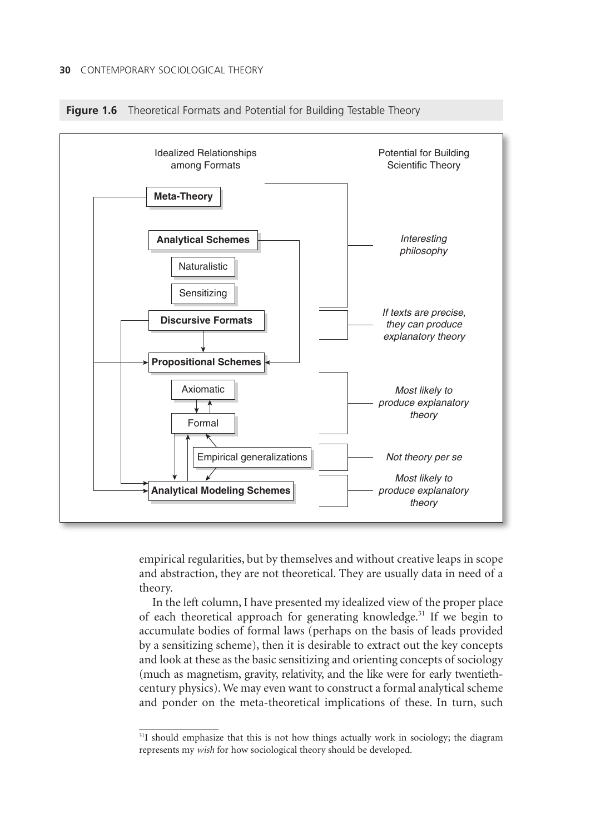

**Figure 1.6** Theoretical Formats and Potential for Building Testable Theory

empirical regularities, but by themselves and without creative leaps in scope and abstraction, they are not theoretical. They are usually data in need of a theory.

In the left column, I have presented my idealized view of the proper place of each theoretical approach for generating knowledge.<sup>31</sup> If we begin to accumulate bodies of formal laws (perhaps on the basis of leads provided by a sensitizing scheme), then it is desirable to extract out the key concepts and look at these as the basic sensitizing and orienting concepts of sociology (much as magnetism, gravity, relativity, and the like were for early twentiethcentury physics). We may even want to construct a formal analytical scheme and ponder on the meta-theoretical implications of these. In turn, such

 $31I$  should emphasize that this is not how things actually work in sociology; the diagram represents my *wish* for how sociological theory should be developed.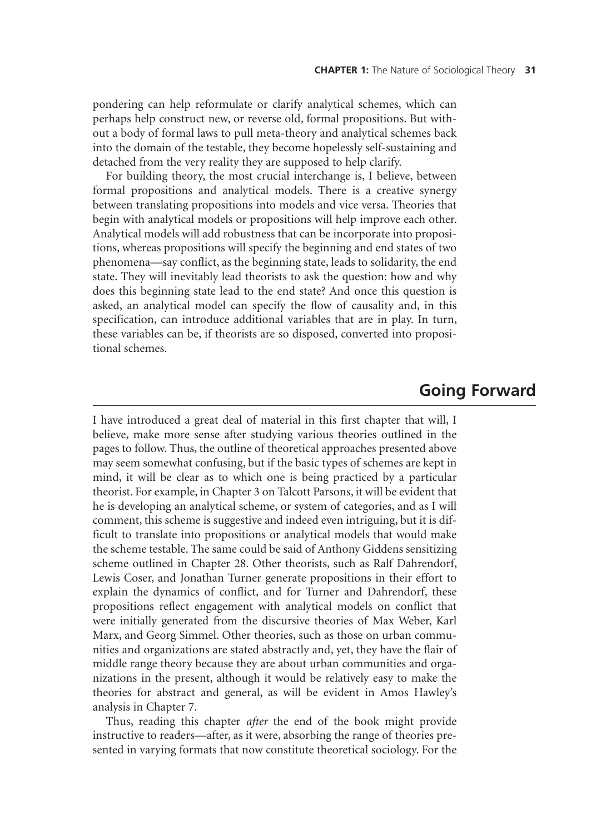pondering can help reformulate or clarify analytical schemes, which can perhaps help construct new, or reverse old, formal propositions. But without a body of formal laws to pull meta-theory and analytical schemes back into the domain of the testable, they become hopelessly self-sustaining and detached from the very reality they are supposed to help clarify.

For building theory, the most crucial interchange is, I believe, between formal propositions and analytical models. There is a creative synergy between translating propositions into models and vice versa. Theories that begin with analytical models or propositions will help improve each other. Analytical models will add robustness that can be incorporate into propositions, whereas propositions will specify the beginning and end states of two phenomena—say conflict, as the beginning state, leads to solidarity, the end state. They will inevitably lead theorists to ask the question: how and why does this beginning state lead to the end state? And once this question is asked, an analytical model can specify the flow of causality and, in this specification, can introduce additional variables that are in play. In turn, these variables can be, if theorists are so disposed, converted into propositional schemes.

# **Going Forward**

I have introduced a great deal of material in this first chapter that will, I believe, make more sense after studying various theories outlined in the pages to follow. Thus, the outline of theoretical approaches presented above may seem somewhat confusing, but if the basic types of schemes are kept in mind, it will be clear as to which one is being practiced by a particular theorist. For example, in Chapter 3 on Talcott Parsons, it will be evident that he is developing an analytical scheme, or system of categories, and as I will comment, this scheme is suggestive and indeed even intriguing, but it is difficult to translate into propositions or analytical models that would make the scheme testable. The same could be said of Anthony Giddens sensitizing scheme outlined in Chapter 28. Other theorists, such as Ralf Dahrendorf, Lewis Coser, and Jonathan Turner generate propositions in their effort to explain the dynamics of conflict, and for Turner and Dahrendorf, these propositions reflect engagement with analytical models on conflict that were initially generated from the discursive theories of Max Weber, Karl Marx, and Georg Simmel. Other theories, such as those on urban communities and organizations are stated abstractly and, yet, they have the flair of middle range theory because they are about urban communities and organizations in the present, although it would be relatively easy to make the theories for abstract and general, as will be evident in Amos Hawley's analysis in Chapter 7.

Thus, reading this chapter *after* the end of the book might provide instructive to readers—after, as it were, absorbing the range of theories presented in varying formats that now constitute theoretical sociology. For the